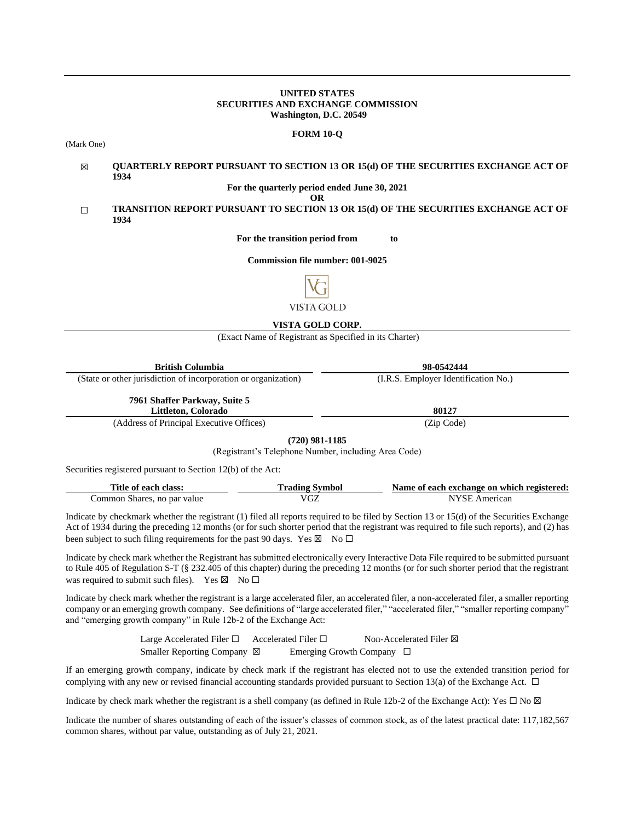#### **UNITED STATES SECURITIES AND EXCHANGE COMMISSION Washington, D.C. 20549**

#### **FORM 10-Q**

(Mark One)

#### ☒ **QUARTERLY REPORT PURSUANT TO SECTION 13 OR 15(d) OF THE SECURITIES EXCHANGE ACT OF 1934**

**For the quarterly period ended June 30, 2021**

**OR**

☐ **TRANSITION REPORT PURSUANT TO SECTION 13 OR 15(d) OF THE SECURITIES EXCHANGE ACT OF 1934**

**For the transition period from to**

**Commission file number: 001-9025**



# **VISTA GOLD CORP.**

(Exact Name of Registrant as Specified in its Charter)

| <b>British Columbia</b>                                                                                                      | 98-0542444                           |
|------------------------------------------------------------------------------------------------------------------------------|--------------------------------------|
| (State or other jurisdiction of incorporation or organization)                                                               | (I.R.S. Employer Identification No.) |
| 7961 Shaffer Parkway, Suite 5<br>Littleton, Colorado                                                                         | 80127                                |
| $(A \text{ d} \text{d} \text{meson of } \text{D} \text{min} \text{ and } \text{E} \text{resonitive } \text{Off} \text{osc})$ | $(T_{\rm in}$ $C_{\rm adab}$         |

(Address of Principal Executive Offices) (Zip Code)

**(720) 981-1185**

(Registrant's Telephone Number, including Area Code)

Securities registered pursuant to Section 12(b) of the Act:

| Title of each class:        | <b>Trading Symbol</b> | Name of each exchange on which registered: |
|-----------------------------|-----------------------|--------------------------------------------|
| Common Shares, no par value | VGZ                   | NYSE American                              |

Indicate by checkmark whether the registrant (1) filed all reports required to be filed by Section 13 or 15(d) of the Securities Exchange Act of 1934 during the preceding 12 months (or for such shorter period that the registrant was required to file such reports), and (2) has been subject to such filing requirements for the past 90 days. Yes  $\boxtimes$  No  $\Box$ 

Indicate by check mark whether the Registrant has submitted electronically every Interactive Data File required to be submitted pursuant to Rule 405 of Regulation S-T (§ 232.405 of this chapter) during the preceding 12 months (or for such shorter period that the registrant was required to submit such files). Yes  $\boxtimes$  No  $\Box$ 

Indicate by check mark whether the registrant is a large accelerated filer, an accelerated filer, a non-accelerated filer, a smaller reporting company or an emerging growth company. See definitions of "large accelerated filer," "accelerated filer," "smaller reporting company" and "emerging growth company" in Rule 12b-2 of the Exchange Act:

> Large Accelerated Filer □ Accelerated Filer □ Non-Accelerated Filer ⊠ Smaller Reporting Company ⊠ Emerging Growth Company □

If an emerging growth company, indicate by check mark if the registrant has elected not to use the extended transition period for complying with any new or revised financial accounting standards provided pursuant to Section 13(a) of the Exchange Act.  $\Box$ 

Indicate by check mark whether the registrant is a shell company (as defined in Rule 12b-2 of the Exchange Act): Yes  $\Box$  No  $\boxtimes$ 

Indicate the number of shares outstanding of each of the issuer's classes of common stock, as of the latest practical date: 117,182,567 common shares, without par value, outstanding as of July 21, 2021.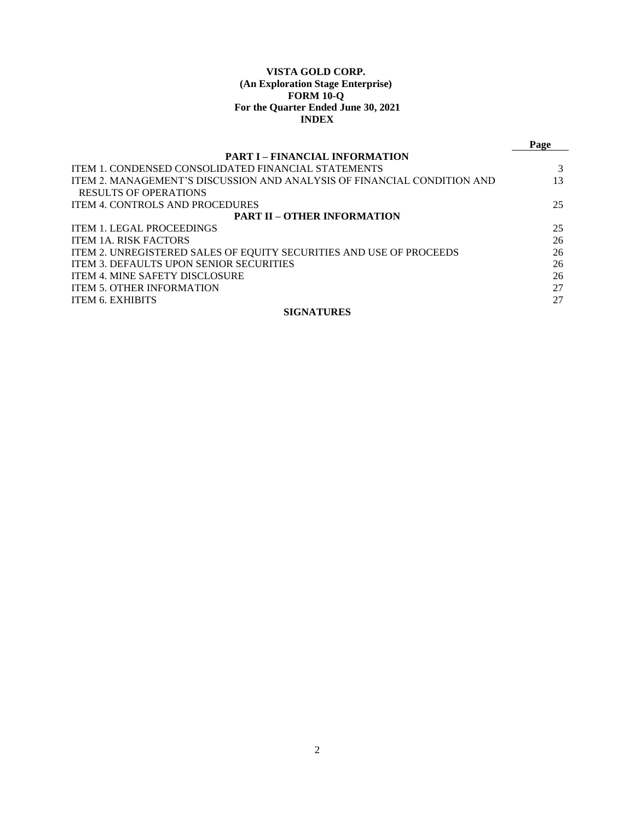# **VISTA GOLD CORP. (An Exploration Stage Enterprise) FORM 10-Q For the Quarter Ended June 30, 2021 INDEX**

|                                                                         | Page |
|-------------------------------------------------------------------------|------|
| <b>PART I – FINANCIAL INFORMATION</b>                                   |      |
| <b>ITEM 1. CONDENSED CONSOLIDATED FINANCIAL STATEMENTS</b>              |      |
| ITEM 2. MANAGEMENT'S DISCUSSION AND ANALYSIS OF FINANCIAL CONDITION AND | 13   |
| <b>RESULTS OF OPERATIONS</b>                                            |      |
| <b>ITEM 4. CONTROLS AND PROCEDURES</b>                                  | 25   |
| <b>PART II – OTHER INFORMATION</b>                                      |      |
| <b>ITEM 1. LEGAL PROCEEDINGS</b>                                        | 25   |
| <b>ITEM 1A. RISK FACTORS</b>                                            | 26   |
| ITEM 2. UNREGISTERED SALES OF EQUITY SECURITIES AND USE OF PROCEEDS     | 26   |
| ITEM 3. DEFAULTS UPON SENIOR SECURITIES                                 | 26   |
| <b>ITEM 4. MINE SAFETY DISCLOSURE</b>                                   | 26   |
| <b>ITEM 5. OTHER INFORMATION</b>                                        | 27   |
| <b>ITEM 6. EXHIBITS</b>                                                 | 27   |
| <b>SIGNATURES</b>                                                       |      |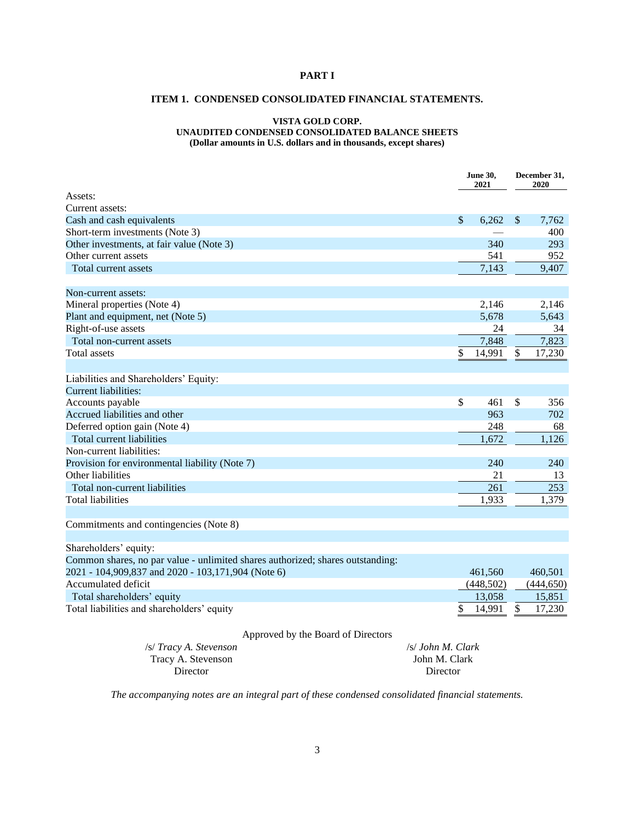# <span id="page-2-1"></span><span id="page-2-0"></span>**PART I**

# **ITEM 1. CONDENSED CONSOLIDATED FINANCIAL STATEMENTS.**

#### **VISTA GOLD CORP. UNAUDITED CONDENSED CONSOLIDATED BALANCE SHEETS**

**(Dollar amounts in U.S. dollars and in thousands, except shares)**

|                                                                                |                   | <b>June 30,</b><br>2021 |              | December 31,<br>2020 |  |
|--------------------------------------------------------------------------------|-------------------|-------------------------|--------------|----------------------|--|
| Assets:                                                                        |                   |                         |              |                      |  |
| Current assets:                                                                |                   |                         |              |                      |  |
| Cash and cash equivalents                                                      |                   | $\mathcal{S}$<br>6,262  | $\sqrt$      | 7,762                |  |
| Short-term investments (Note 3)                                                |                   |                         |              | 400                  |  |
| Other investments, at fair value (Note 3)                                      |                   | 340                     |              | 293                  |  |
| Other current assets                                                           |                   | 541                     |              | 952                  |  |
| Total current assets                                                           |                   | 7,143                   |              | 9,407                |  |
| Non-current assets:                                                            |                   |                         |              |                      |  |
| Mineral properties (Note 4)                                                    |                   | 2,146                   |              | 2,146                |  |
| Plant and equipment, net (Note 5)                                              |                   | 5,678                   |              | 5,643                |  |
| Right-of-use assets                                                            |                   | 24                      |              | 34                   |  |
| Total non-current assets                                                       |                   | 7,848                   |              | 7,823                |  |
| <b>Total</b> assets                                                            |                   | \$<br>14,991            | $\mathbb{S}$ | 17,230               |  |
|                                                                                |                   |                         |              |                      |  |
| Liabilities and Shareholders' Equity:                                          |                   |                         |              |                      |  |
| <b>Current liabilities:</b>                                                    |                   |                         |              |                      |  |
| Accounts payable                                                               |                   | \$<br>461               | \$           | 356                  |  |
| Accrued liabilities and other                                                  |                   | 963                     |              | 702                  |  |
| Deferred option gain (Note 4)                                                  |                   | 248                     |              | 68                   |  |
| <b>Total current liabilities</b>                                               |                   | 1,672                   |              | 1,126                |  |
| Non-current liabilities:                                                       |                   |                         |              |                      |  |
| Provision for environmental liability (Note 7)                                 |                   | 240                     |              | 240                  |  |
| Other liabilities                                                              |                   | 21                      |              | 13                   |  |
| Total non-current liabilities                                                  |                   | 261                     |              | 253                  |  |
| <b>Total liabilities</b>                                                       |                   | 1,933                   |              | 1,379                |  |
|                                                                                |                   |                         |              |                      |  |
| Commitments and contingencies (Note 8)                                         |                   |                         |              |                      |  |
|                                                                                |                   |                         |              |                      |  |
| Shareholders' equity:                                                          |                   |                         |              |                      |  |
| Common shares, no par value - unlimited shares authorized; shares outstanding: |                   |                         |              |                      |  |
| 2021 - 104,909,837 and 2020 - 103,171,904 (Note 6)                             |                   | 461,560                 |              | 460,501              |  |
| Accumulated deficit                                                            |                   | (448, 502)              |              | (444, 650)           |  |
| Total shareholders' equity                                                     |                   | 13,058                  |              | 15,851               |  |
| Total liabilities and shareholders' equity                                     |                   | \$<br>14,991            | \$           | 17,230               |  |
| Approved by the Board of Directors                                             |                   |                         |              |                      |  |
| /s/ Tracy A. Stevenson                                                         | /s/ John M. Clark |                         |              |                      |  |
| Tracy A. Stevenson                                                             | John M. Clark     |                         |              |                      |  |

*The accompanying notes are an integral part of these condensed consolidated financial statements.*

Director

Director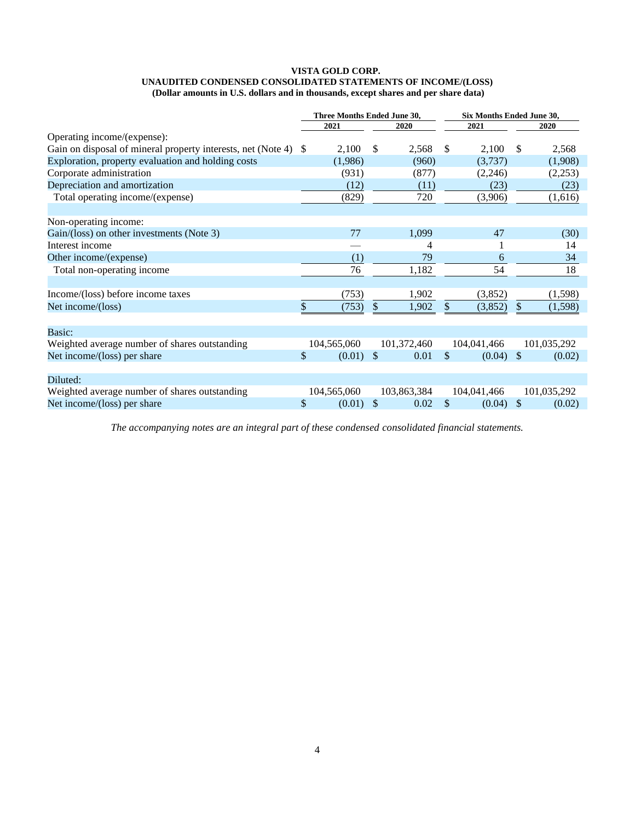#### **VISTA GOLD CORP. UNAUDITED CONDENSED CONSOLIDATED STATEMENTS OF INCOME/(LOSS) (Dollar amounts in U.S. dollars and in thousands, except shares and per share data)**

|                                                                 | Three Months Ended June 30, |               |             | Six Months Ended June 30, |               |             |
|-----------------------------------------------------------------|-----------------------------|---------------|-------------|---------------------------|---------------|-------------|
|                                                                 | 2021                        |               | 2020        | 2021                      |               | 2020        |
| Operating income/(expense):                                     |                             |               |             |                           |               |             |
| Gain on disposal of mineral property interests, net (Note 4) \$ | 2,100                       | \$            | 2,568       | \$<br>2,100               | \$            | 2,568       |
| Exploration, property evaluation and holding costs              | (1,986)                     |               | (960)       | (3,737)                   |               | (1,908)     |
| Corporate administration                                        | (931)                       |               | (877)       | (2,246)                   |               | (2,253)     |
| Depreciation and amortization                                   | (12)                        |               | (11)        | (23)                      |               | (23)        |
| Total operating income/(expense)                                | (829)                       |               | 720         | (3,906)                   |               | (1,616)     |
| Non-operating income:                                           |                             |               |             |                           |               |             |
| Gain/(loss) on other investments (Note 3)                       | 77                          |               | 1,099       | 47                        |               | (30)        |
| Interest income                                                 |                             |               | 4           |                           |               | 14          |
| Other income/(expense)                                          | (1)                         |               | 79          | 6                         |               | 34          |
| Total non-operating income                                      | 76                          |               | 1,182       | 54                        |               | 18          |
| Income/(loss) before income taxes                               | (753)                       |               | 1,902       | (3,852)                   |               | (1,598)     |
| Net income/(loss)                                               | \$<br>(753)                 | \$            | 1,902       | \$<br>(3,852)             | $\mathbb{S}$  | (1,598)     |
| Basic:                                                          |                             |               |             |                           |               |             |
| Weighted average number of shares outstanding                   | 104,565,060                 |               | 101,372,460 | 104,041,466               |               | 101,035,292 |
| Net income/(loss) per share                                     | \$<br>(0.01)                | $\mathcal{S}$ | 0.01        | \$<br>(0.04)              | <sup>\$</sup> | (0.02)      |
| Diluted:                                                        |                             |               |             |                           |               |             |
| Weighted average number of shares outstanding                   | 104,565,060                 |               | 103,863,384 | 104,041,466               |               | 101,035,292 |
| Net income/(loss) per share                                     | \$<br>(0.01)                | \$            | 0.02        | \$<br>(0.04)              | $\mathbb{S}$  | (0.02)      |

*The accompanying notes are an integral part of these condensed consolidated financial statements.*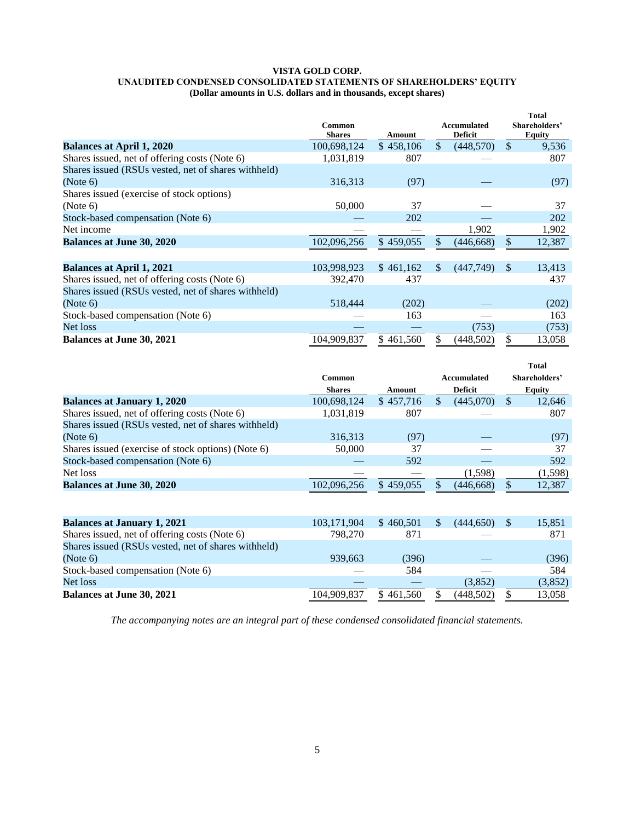#### **VISTA GOLD CORP. UNAUDITED CONDENSED CONSOLIDATED STATEMENTS OF SHAREHOLDERS' EQUITY (Dollar amounts in U.S. dollars and in thousands, except shares)**

|                                                     | Common<br><b>Shares</b> | Amount    |               | <b>Accumulated</b><br><b>Deficit</b> |               | <b>Total</b><br>Shareholders'<br><b>Equity</b> |
|-----------------------------------------------------|-------------------------|-----------|---------------|--------------------------------------|---------------|------------------------------------------------|
| <b>Balances at April 1, 2020</b>                    | 100,698,124             | \$458,106 | $\mathcal{S}$ | (448,570)                            | <sup>\$</sup> | 9,536                                          |
| Shares issued, net of offering costs (Note 6)       | 1,031,819               | 807       |               |                                      |               | 807                                            |
| Shares issued (RSUs vested, net of shares withheld) |                         |           |               |                                      |               |                                                |
| (Note 6)                                            | 316,313                 | (97)      |               |                                      |               | (97)                                           |
| Shares issued (exercise of stock options)           |                         |           |               |                                      |               |                                                |
| (Note 6)                                            | 50,000                  | 37        |               |                                      |               | 37                                             |
| Stock-based compensation (Note 6)                   |                         | 202       |               |                                      |               | 202                                            |
| Net income                                          |                         |           |               | 1,902                                |               | 1,902                                          |
| <b>Balances at June 30, 2020</b>                    | 102,096,256             | \$459,055 |               | (446, 668)                           | \$            | 12,387                                         |
|                                                     |                         |           |               |                                      |               |                                                |
| <b>Balances at April 1, 2021</b>                    | 103,998,923             | \$461,162 | <sup>\$</sup> | (447,749)                            | <sup>\$</sup> | 13,413                                         |
| Shares issued, net of offering costs (Note 6)       | 392,470                 | 437       |               |                                      |               | 437                                            |
| Shares issued (RSUs vested, net of shares withheld) |                         |           |               |                                      |               |                                                |
| (Note 6)                                            | 518,444                 | (202)     |               |                                      |               | (202)                                          |
| Stock-based compensation (Note 6)                   |                         | 163       |               |                                      |               | 163                                            |
| Net loss                                            |                         |           |               | (753)                                |               | (753)                                          |
| <b>Balances at June 30, 2021</b>                    | 104.909.837             | \$461,560 |               | (448,502)                            |               | 13,058                                         |

|                                                     |                                           |           |     |             |               | <b>Total</b>  |
|-----------------------------------------------------|-------------------------------------------|-----------|-----|-------------|---------------|---------------|
|                                                     | <b>Common</b>                             |           |     | Accumulated |               | Shareholders' |
|                                                     | <b>Deficit</b><br><b>Shares</b><br>Amount |           |     |             |               | <b>Equity</b> |
| <b>Balances at January 1, 2020</b>                  | 100,698,124                               | \$457,716 | \$  | (445,070)   | $\mathcal{S}$ | 12,646        |
| Shares issued, net of offering costs (Note 6)       | 1,031,819                                 | 807       |     |             |               | 807           |
| Shares issued (RSUs vested, net of shares withheld) |                                           |           |     |             |               |               |
| (Note 6)                                            | 316,313                                   | (97)      |     |             |               | (97)          |
| Shares issued (exercise of stock options) (Note 6)  | 50,000                                    | 37        |     |             |               | 37            |
| Stock-based compensation (Note 6)                   |                                           | 592       |     |             |               | 592           |
| Net loss                                            |                                           |           |     | (1,598)     |               | (1,598)       |
| <b>Balances at June 30, 2020</b>                    | 102,096,256                               | \$459,055 |     | (446, 668)  | \$            | 12,387        |
|                                                     |                                           |           |     |             |               |               |
| <b>Balances at January 1, 2021</b>                  | 103,171,904                               | \$460.501 | \$. | (444.650)   | -S            | 15,851        |
| Shares issued, net of offering costs (Note 6)       | 798,270                                   | 871       |     |             |               | 871           |
| Shares issued (RSUs vested, net of shares withheld) |                                           |           |     |             |               |               |
| (Note 6)                                            | 939,663                                   | (396)     |     |             |               | (396)         |
| Stock-based compensation (Note 6)                   |                                           | 584       |     |             |               | 584           |
| Net loss                                            |                                           |           |     | (3,852)     |               | (3,852)       |
| <b>Balances at June 30, 2021</b>                    | 104.909.837                               | \$461,560 |     | (448,502)   | \$            | 13,058        |

*The accompanying notes are an integral part of these condensed consolidated financial statements.*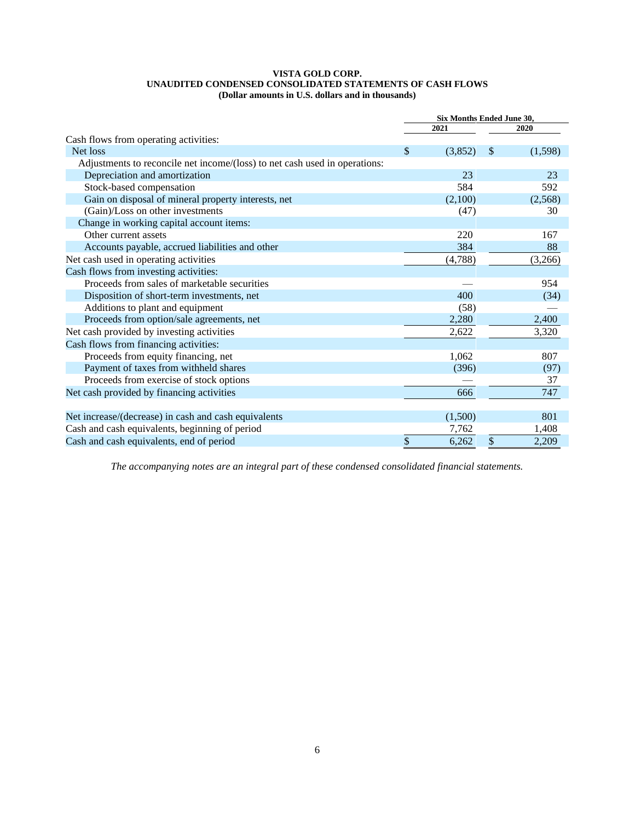#### **VISTA GOLD CORP. UNAUDITED CONDENSED CONSOLIDATED STATEMENTS OF CASH FLOWS (Dollar amounts in U.S. dollars and in thousands)**

|                                                                            | Six Months Ended June 30, |               |
|----------------------------------------------------------------------------|---------------------------|---------------|
|                                                                            | 2021                      | 2020          |
| Cash flows from operating activities:                                      |                           |               |
| Net loss                                                                   | \$<br>(3,852)             | \$<br>(1,598) |
| Adjustments to reconcile net income/(loss) to net cash used in operations: |                           |               |
| Depreciation and amortization                                              | 23                        | 23            |
| Stock-based compensation                                                   | 584                       | 592           |
| Gain on disposal of mineral property interests, net                        | (2,100)                   | (2,568)       |
| (Gain)/Loss on other investments                                           | (47)                      | 30            |
| Change in working capital account items:                                   |                           |               |
| Other current assets                                                       | 220                       | 167           |
| Accounts payable, accrued liabilities and other                            | 384                       | 88            |
| Net cash used in operating activities                                      | (4,788)                   | (3,266)       |
| Cash flows from investing activities:                                      |                           |               |
| Proceeds from sales of marketable securities                               |                           | 954           |
| Disposition of short-term investments, net                                 | 400                       | (34)          |
| Additions to plant and equipment                                           | (58)                      |               |
| Proceeds from option/sale agreements, net                                  | 2,280                     | 2,400         |
| Net cash provided by investing activities                                  | 2,622                     | 3,320         |
| Cash flows from financing activities:                                      |                           |               |
| Proceeds from equity financing, net                                        | 1,062                     | 807           |
| Payment of taxes from withheld shares                                      | (396)                     | (97)          |
| Proceeds from exercise of stock options                                    |                           | 37            |
| Net cash provided by financing activities                                  | 666                       | 747           |
|                                                                            |                           |               |
| Net increase/(decrease) in cash and cash equivalents                       | (1,500)                   | 801           |
| Cash and cash equivalents, beginning of period                             | 7,762                     | 1,408         |
| Cash and cash equivalents, end of period                                   | \$<br>6,262               | \$<br>2,209   |

*The accompanying notes are an integral part of these condensed consolidated financial statements.*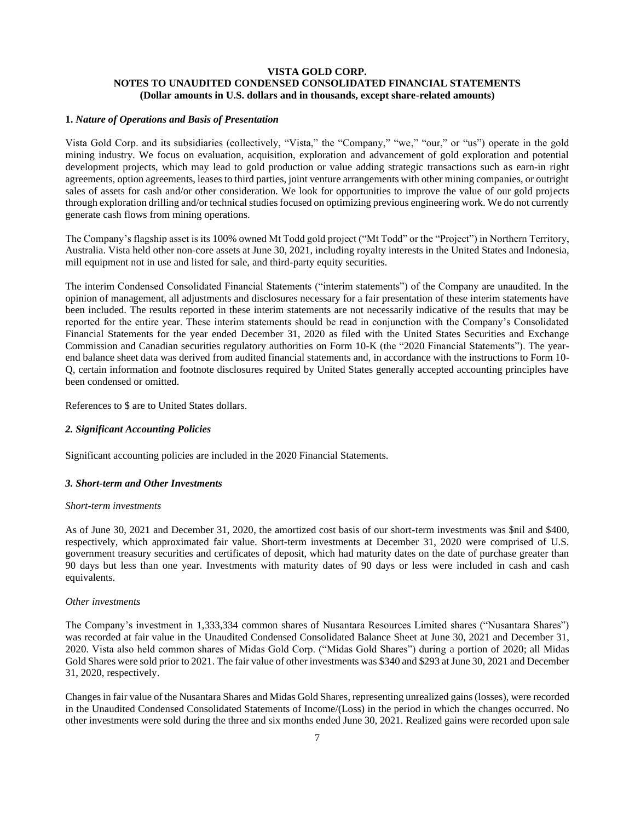# **VISTA GOLD CORP. NOTES TO UNAUDITED CONDENSED CONSOLIDATED FINANCIAL STATEMENTS (Dollar amounts in U.S. dollars and in thousands, except share-related amounts)**

# **1.** *Nature of Operations and Basis of Presentation*

Vista Gold Corp. and its subsidiaries (collectively, "Vista," the "Company," "we," "our," or "us") operate in the gold mining industry. We focus on evaluation, acquisition, exploration and advancement of gold exploration and potential development projects, which may lead to gold production or value adding strategic transactions such as earn-in right agreements, option agreements, leases to third parties, joint venture arrangements with other mining companies, or outright sales of assets for cash and/or other consideration. We look for opportunities to improve the value of our gold projects through exploration drilling and/or technical studies focused on optimizing previous engineering work. We do not currently generate cash flows from mining operations.

The Company's flagship asset is its 100% owned Mt Todd gold project ("Mt Todd" or the "Project") in Northern Territory, Australia. Vista held other non-core assets at June 30, 2021, including royalty interests in the United States and Indonesia, mill equipment not in use and listed for sale, and third-party equity securities.

The interim Condensed Consolidated Financial Statements ("interim statements") of the Company are unaudited. In the opinion of management, all adjustments and disclosures necessary for a fair presentation of these interim statements have been included. The results reported in these interim statements are not necessarily indicative of the results that may be reported for the entire year. These interim statements should be read in conjunction with the Company's Consolidated Financial Statements for the year ended December 31, 2020 as filed with the United States Securities and Exchange Commission and Canadian securities regulatory authorities on Form 10-K (the "2020 Financial Statements"). The yearend balance sheet data was derived from audited financial statements and, in accordance with the instructions to Form 10- Q, certain information and footnote disclosures required by United States generally accepted accounting principles have been condensed or omitted.

References to \$ are to United States dollars.

#### *2. Significant Accounting Policies*

Significant accounting policies are included in the 2020 Financial Statements.

#### *3. Short-term and Other Investments*

#### *Short-term investments*

As of June 30, 2021 and December 31, 2020, the amortized cost basis of our short-term investments was \$nil and \$400, respectively, which approximated fair value. Short-term investments at December 31, 2020 were comprised of U.S. government treasury securities and certificates of deposit, which had maturity dates on the date of purchase greater than 90 days but less than one year. Investments with maturity dates of 90 days or less were included in cash and cash equivalents.

#### *Other investments*

The Company's investment in 1,333,334 common shares of Nusantara Resources Limited shares ("Nusantara Shares") was recorded at fair value in the Unaudited Condensed Consolidated Balance Sheet at June 30, 2021 and December 31, 2020. Vista also held common shares of Midas Gold Corp. ("Midas Gold Shares") during a portion of 2020; all Midas Gold Shares were sold prior to 2021. The fair value of other investments was \$340 and \$293 atJune 30, 2021 and December 31, 2020, respectively.

Changes in fair value of the Nusantara Shares and Midas Gold Shares, representing unrealized gains (losses), were recorded in the Unaudited Condensed Consolidated Statements of Income/(Loss) in the period in which the changes occurred. No other investments were sold during the three and six months ended June 30, 2021. Realized gains were recorded upon sale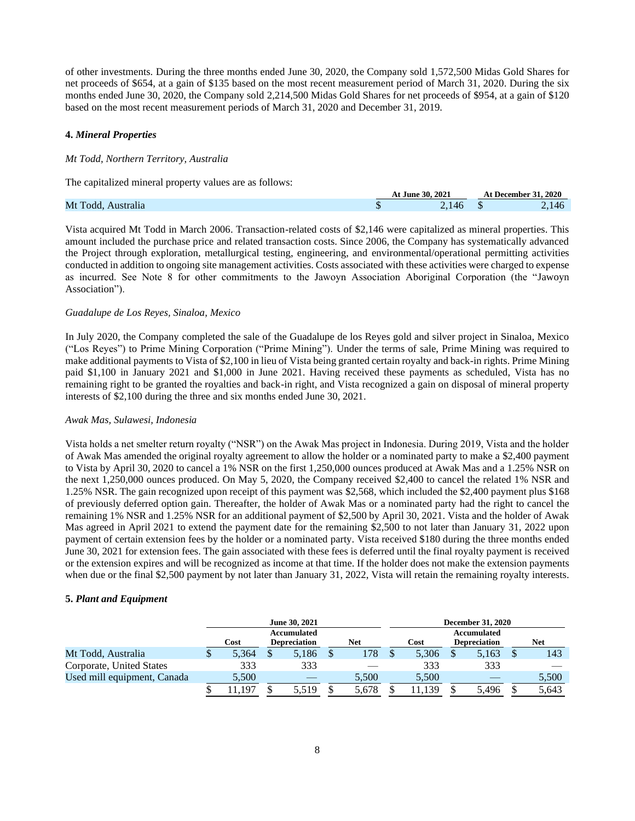of other investments. During the three months ended June 30, 2020, the Company sold 1,572,500 Midas Gold Shares for net proceeds of \$654, at a gain of \$135 based on the most recent measurement period of March 31, 2020. During the six months ended June 30, 2020, the Company sold 2,214,500 Midas Gold Shares for net proceeds of \$954, at a gain of \$120 based on the most recent measurement periods of March 31, 2020 and December 31, 2019.

# **4.** *Mineral Properties*

#### *Mt Todd, Northern Territory, Australia*

The capitalized mineral property values are as follows:

|                       |   | At June 30, 2021 | .31.2020<br>  December<br>A |  |  |
|-----------------------|---|------------------|-----------------------------|--|--|
| Mt Todd.<br>Australıa | w |                  |                             |  |  |

Vista acquired Mt Todd in March 2006. Transaction-related costs of \$2,146 were capitalized as mineral properties. This amount included the purchase price and related transaction costs. Since 2006, the Company has systematically advanced the Project through exploration, metallurgical testing, engineering, and environmental/operational permitting activities conducted in addition to ongoing site management activities. Costs associated with these activities were charged to expense as incurred. See Note 8 for other commitments to the Jawoyn Association Aboriginal Corporation (the "Jawoyn Association").

#### *Guadalupe de Los Reyes, Sinaloa, Mexico*

In July 2020, the Company completed the sale of the Guadalupe de los Reyes gold and silver project in Sinaloa, Mexico ("Los Reyes") to Prime Mining Corporation ("Prime Mining"). Under the terms of sale, Prime Mining was required to make additional payments to Vista of \$2,100 in lieu of Vista being granted certain royalty and back-in rights. Prime Mining paid \$1,100 in January 2021 and \$1,000 in June 2021. Having received these payments as scheduled, Vista has no remaining right to be granted the royalties and back-in right, and Vista recognized a gain on disposal of mineral property interests of \$2,100 during the three and six months ended June 30, 2021.

#### *Awak Mas, Sulawesi, Indonesia*

Vista holds a net smelter return royalty ("NSR") on the Awak Mas project in Indonesia. During 2019, Vista and the holder of Awak Mas amended the original royalty agreement to allow the holder or a nominated party to make a \$2,400 payment to Vista by April 30, 2020 to cancel a 1% NSR on the first 1,250,000 ounces produced at Awak Mas and a 1.25% NSR on the next 1,250,000 ounces produced. On May 5, 2020, the Company received \$2,400 to cancel the related 1% NSR and 1.25% NSR. The gain recognized upon receipt of this payment was \$2,568, which included the \$2,400 payment plus \$168 of previously deferred option gain. Thereafter, the holder of Awak Mas or a nominated party had the right to cancel the remaining 1% NSR and 1.25% NSR for an additional payment of \$2,500 by April 30, 2021. Vista and the holder of Awak Mas agreed in April 2021 to extend the payment date for the remaining \$2,500 to not later than January 31, 2022 upon payment of certain extension fees by the holder or a nominated party. Vista received \$180 during the three months ended June 30, 2021 for extension fees. The gain associated with these fees is deferred until the final royalty payment is received or the extension expires and will be recognized as income at that time. If the holder does not make the extension payments when due or the final \$2,500 payment by not later than January 31, 2022, Vista will retain the remaining royalty interests.

# **5.** *Plant and Equipment*

|                             | June 30, 2021 |                                    |       |     |       |      | <b>December 31, 2020</b> |                                    |       |     |       |  |
|-----------------------------|---------------|------------------------------------|-------|-----|-------|------|--------------------------|------------------------------------|-------|-----|-------|--|
|                             | Cost          | Accumulated<br><b>Depreciation</b> |       | Net |       | Cost |                          | Accumulated<br><b>Depreciation</b> |       | Net |       |  |
| Mt Todd, Australia          | 5.364         |                                    | 5,186 |     | 178   |      | 5,306                    |                                    | 5.163 |     | 143   |  |
| Corporate, United States    | 333           |                                    | 333   |     |       |      | 333                      |                                    | 333   |     |       |  |
| Used mill equipment, Canada | 5.500         |                                    |       |     | 5.500 |      | 5.500                    |                                    |       |     | 5,500 |  |
|                             | .197          |                                    | 5.519 |     | 5.678 |      | 11.139                   |                                    | 5.496 |     | 5,643 |  |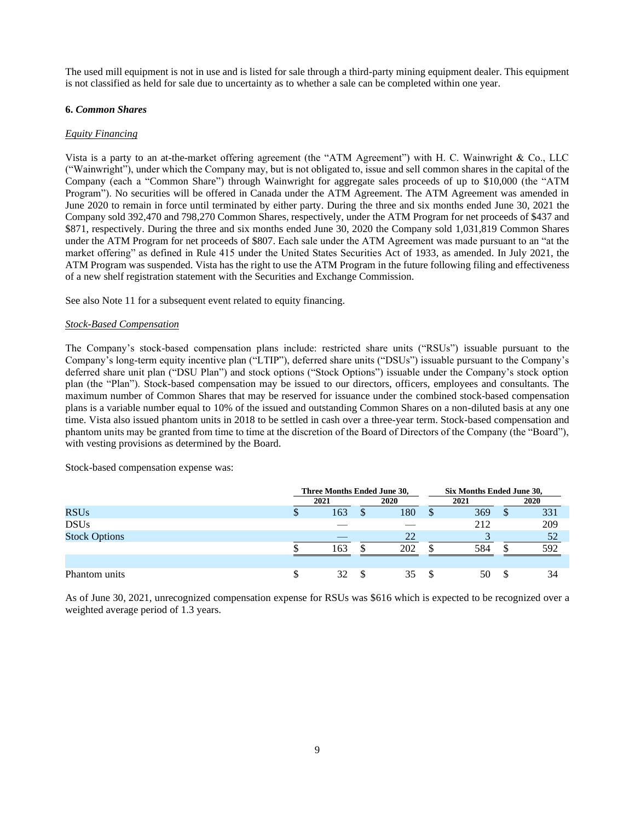The used mill equipment is not in use and is listed for sale through a third-party mining equipment dealer. This equipment is not classified as held for sale due to uncertainty as to whether a sale can be completed within one year.

#### **6.** *Common Shares*

#### *Equity Financing*

Vista is a party to an at-the-market offering agreement (the "ATM Agreement") with H. C. Wainwright & Co., LLC ("Wainwright"), under which the Company may, but is not obligated to, issue and sell common shares in the capital of the Company (each a "Common Share") through Wainwright for aggregate sales proceeds of up to \$10,000 (the "ATM Program"). No securities will be offered in Canada under the ATM Agreement. The ATM Agreement was amended in June 2020 to remain in force until terminated by either party. During the three and six months ended June 30, 2021 the Company sold 392,470 and 798,270 Common Shares, respectively, under the ATM Program for net proceeds of \$437 and \$871, respectively. During the three and six months ended June 30, 2020 the Company sold 1,031,819 Common Shares under the ATM Program for net proceeds of \$807. Each sale under the ATM Agreement was made pursuant to an "at the market offering" as defined in Rule 415 under the United States Securities Act of 1933, as amended. In July 2021, the ATM Program was suspended. Vista has the right to use the ATM Program in the future following filing and effectiveness of a new shelf registration statement with the Securities and Exchange Commission.

See also Note 11 for a subsequent event related to equity financing.

#### *Stock-Based Compensation*

The Company's stock-based compensation plans include: restricted share units ("RSUs") issuable pursuant to the Company's long-term equity incentive plan ("LTIP"), deferred share units ("DSUs") issuable pursuant to the Company's deferred share unit plan ("DSU Plan") and stock options ("Stock Options") issuable under the Company's stock option plan (the "Plan"). Stock-based compensation may be issued to our directors, officers, employees and consultants. The maximum number of Common Shares that may be reserved for issuance under the combined stock-based compensation plans is a variable number equal to 10% of the issued and outstanding Common Shares on a non-diluted basis at any one time. Vista also issued phantom units in 2018 to be settled in cash over a three-year term. Stock-based compensation and phantom units may be granted from time to time at the discretion of the Board of Directors of the Company (the "Board"), with vesting provisions as determined by the Board.

Stock-based compensation expense was:

|                      | Three Months Ended June 30, |      |    |      |  | Six Months Ended June 30, |   |      |  |
|----------------------|-----------------------------|------|----|------|--|---------------------------|---|------|--|
|                      |                             | 2021 |    | 2020 |  | 2021                      |   | 2020 |  |
| <b>RSUs</b>          | Φ                           | 163  | -S | 180  |  | 369                       | S | 331  |  |
| <b>DSUs</b>          |                             |      |    |      |  | 212                       |   | 209  |  |
| <b>Stock Options</b> |                             |      |    | 22   |  |                           |   | 52   |  |
|                      |                             | 163  |    | 202  |  | 584                       |   | 592  |  |
|                      |                             |      |    |      |  |                           |   |      |  |
| Phantom units        | \$                          | 32   | -S | 35   |  | 50                        |   | 34   |  |

As of June 30, 2021, unrecognized compensation expense for RSUs was \$616 which is expected to be recognized over a weighted average period of 1.3 years.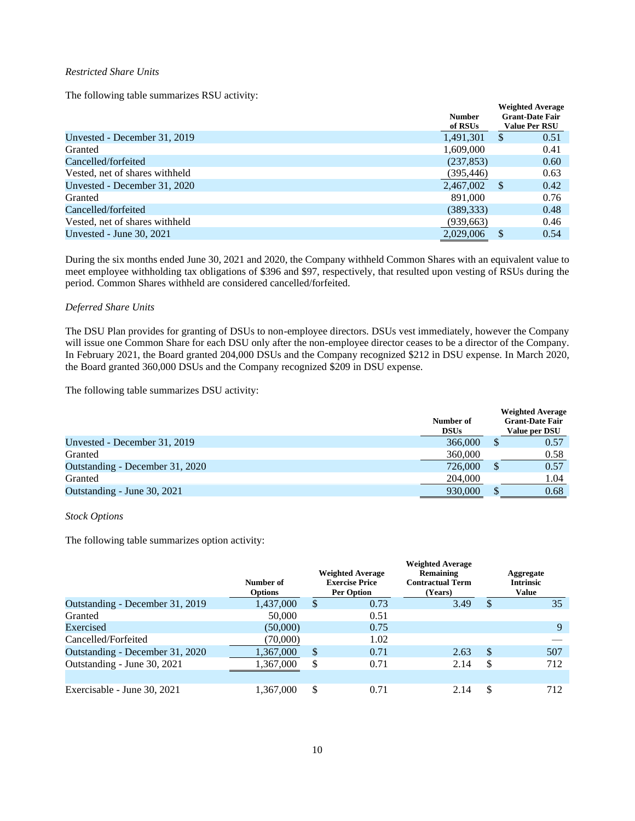#### *Restricted Share Units*

The following table summarizes RSU activity:

|                                | <b>Number</b><br>of RSUs |              | <b>Weighted Average</b><br><b>Grant-Date Fair</b><br><b>Value Per RSU</b> |
|--------------------------------|--------------------------|--------------|---------------------------------------------------------------------------|
| Unvested - December 31, 2019   | 1,491,301                | <sup>S</sup> | 0.51                                                                      |
| Granted                        | 1,609,000                |              | 0.41                                                                      |
| Cancelled/forfeited            | (237, 853)               |              | 0.60                                                                      |
| Vested, net of shares withheld | (395, 446)               |              | 0.63                                                                      |
| Unvested - December 31, 2020   | 2,467,002                | -S           | 0.42                                                                      |
| Granted                        | 891,000                  |              | 0.76                                                                      |
| Cancelled/forfeited            | (389, 333)               |              | 0.48                                                                      |
| Vested, net of shares withheld | (939, 663)               |              | 0.46                                                                      |
| Unvested - June $30, 2021$     | 2.029.006                |              | 0.54                                                                      |

During the six months ended June 30, 2021 and 2020, the Company withheld Common Shares with an equivalent value to meet employee withholding tax obligations of \$396 and \$97, respectively, that resulted upon vesting of RSUs during the period. Common Shares withheld are considered cancelled/forfeited.

# *Deferred Share Units*

The DSU Plan provides for granting of DSUs to non-employee directors. DSUs vest immediately, however the Company will issue one Common Share for each DSU only after the non-employee director ceases to be a director of the Company. In February 2021, the Board granted 204,000 DSUs and the Company recognized \$212 in DSU expense. In March 2020, the Board granted 360,000 DSUs and the Company recognized \$209 in DSU expense.

The following table summarizes DSU activity:

|                                 |             |   | <b>Weighted Average</b> |
|---------------------------------|-------------|---|-------------------------|
|                                 | Number of   |   | <b>Grant-Date Fair</b>  |
|                                 | <b>DSUs</b> |   | Value per DSU           |
| Unvested - December 31, 2019    | 366,000     |   | 0.57                    |
| Granted                         | 360,000     |   | 0.58                    |
| Outstanding - December 31, 2020 | 726,000     | S | 0.57                    |
| Granted                         | 204,000     |   | 1.04                    |
| Outstanding - June 30, 2021     | 930,000     |   | 0.68                    |

#### *Stock Options*

The following table summarizes option activity:

|                                 | Number of<br><b>Options</b> |    | <b>Weighted Average</b><br><b>Exercise Price</b><br><b>Per Option</b> | <b>Weighted Average</b><br><b>Remaining</b><br><b>Contractual Term</b><br>(Years) |     | Aggregate<br><b>Intrinsic</b><br><b>Value</b> |
|---------------------------------|-----------------------------|----|-----------------------------------------------------------------------|-----------------------------------------------------------------------------------|-----|-----------------------------------------------|
| Outstanding - December 31, 2019 | 1,437,000                   | \$ | 0.73                                                                  | 3.49                                                                              | D   | 35                                            |
| Granted                         | 50,000                      |    | 0.51                                                                  |                                                                                   |     |                                               |
| Exercised                       | (50,000)                    |    | 0.75                                                                  |                                                                                   |     | 9                                             |
| Cancelled/Forfeited             | (70,000)                    |    | 1.02                                                                  |                                                                                   |     |                                               |
| Outstanding - December 31, 2020 | 1,367,000                   | \$ | 0.71                                                                  | 2.63                                                                              | \$. | 507                                           |
| Outstanding - June 30, 2021     | 1,367,000                   | S  | 0.71                                                                  | 2.14                                                                              | S   | 712                                           |
|                                 |                             |    |                                                                       |                                                                                   |     |                                               |
| Exercisable - June 30, 2021     | 1,367,000                   | \$ | 0.71                                                                  | 2.14                                                                              | \$  | 712                                           |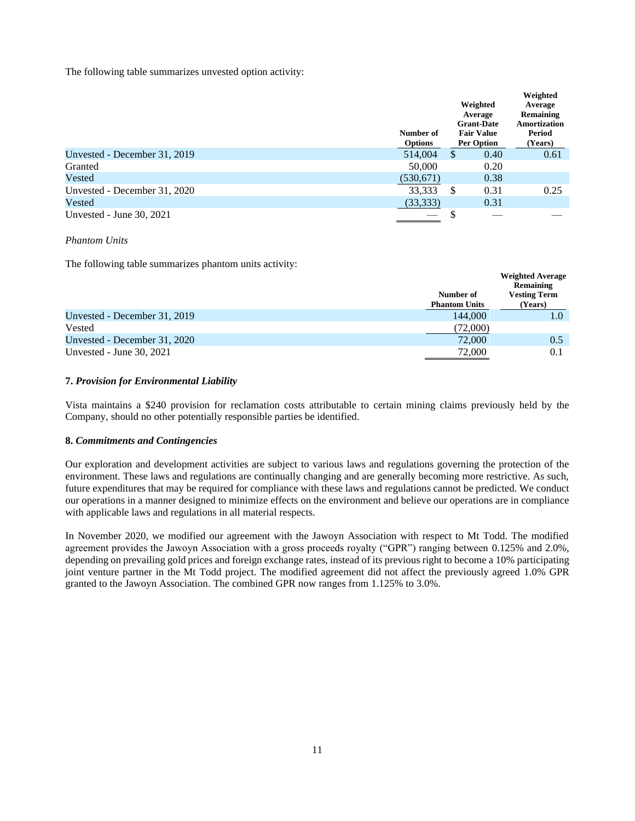The following table summarizes unvested option activity:

|                              | Number of<br><b>Options</b> |    | Weighted<br>Average<br><b>Grant-Date</b><br><b>Fair Value</b><br><b>Per Option</b> | Weighted<br>Average<br>Remaining<br><b>Amortization</b><br>Period<br>(Years) |
|------------------------------|-----------------------------|----|------------------------------------------------------------------------------------|------------------------------------------------------------------------------|
| Unvested - December 31, 2019 | 514,004                     | \$ | 0.40                                                                               | 0.61                                                                         |
| Granted                      | 50,000                      |    | 0.20                                                                               |                                                                              |
| Vested                       | (530,671)                   |    | 0.38                                                                               |                                                                              |
| Unvested - December 31, 2020 | 33,333                      | S  | 0.31                                                                               | 0.25                                                                         |
| Vested                       | (33,333)                    |    | 0.31                                                                               |                                                                              |
| Unvested - June 30, 2021     |                             | S  |                                                                                    |                                                                              |

#### *Phantom Units*

The following table summarizes phantom units activity:

|                              |                      | weighted Average<br>Remaining |
|------------------------------|----------------------|-------------------------------|
|                              | Number of            | <b>Vesting Term</b>           |
|                              | <b>Phantom Units</b> | (Years)                       |
| Unvested - December 31, 2019 | 144,000              | 1.0                           |
| Vested                       | (72,000)             |                               |
| Unvested - December 31, 2020 | 72,000               | 0.5                           |
| Unvested - June $30, 2021$   | 72,000               | 0.1                           |

**Weighted Average**

# **7.** *Provision for Environmental Liability*

Vista maintains a \$240 provision for reclamation costs attributable to certain mining claims previously held by the Company, should no other potentially responsible parties be identified.

# **8.** *Commitments and Contingencies*

Our exploration and development activities are subject to various laws and regulations governing the protection of the environment. These laws and regulations are continually changing and are generally becoming more restrictive. As such, future expenditures that may be required for compliance with these laws and regulations cannot be predicted. We conduct our operations in a manner designed to minimize effects on the environment and believe our operations are in compliance with applicable laws and regulations in all material respects.

In November 2020, we modified our agreement with the Jawoyn Association with respect to Mt Todd. The modified agreement provides the Jawoyn Association with a gross proceeds royalty ("GPR") ranging between 0.125% and 2.0%, depending on prevailing gold prices and foreign exchange rates, instead of its previous right to become a 10% participating joint venture partner in the Mt Todd project. The modified agreement did not affect the previously agreed 1.0% GPR granted to the Jawoyn Association. The combined GPR now ranges from 1.125% to 3.0%.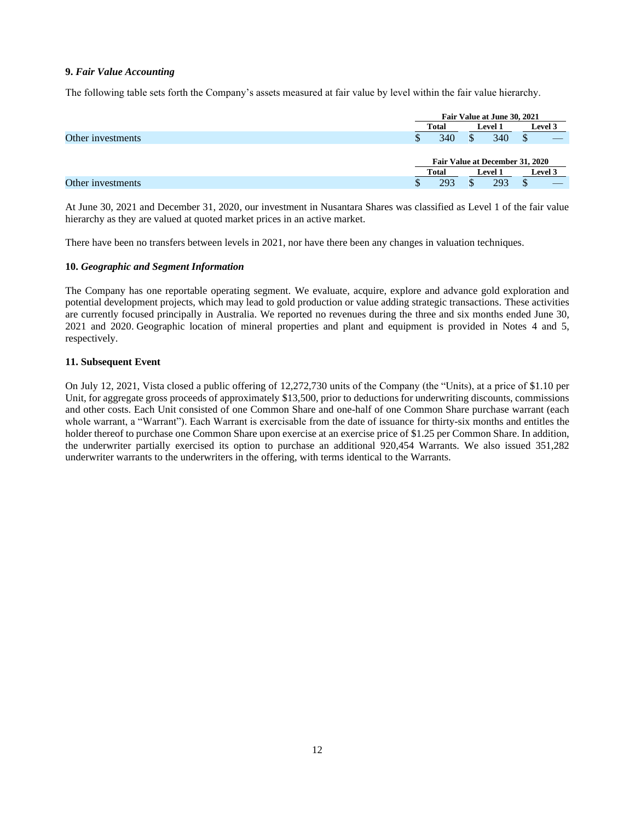# **9.** *Fair Value Accounting*

The following table sets forth the Company's assets measured at fair value by level within the fair value hierarchy.

|                   |              | Fair Value at June 30, 2021     |                |  |
|-------------------|--------------|---------------------------------|----------------|--|
|                   | <b>Total</b> | <b>Level 1</b>                  | Level 3        |  |
| Other investments | 340<br>S     | 340                             | ۰D             |  |
|                   |              | Fair Value at December 31, 2020 |                |  |
|                   | <b>Total</b> | <b>Level 1</b>                  | <b>Level 3</b> |  |
| Other investments | 293<br>J.    | 293                             | D              |  |

At June 30, 2021 and December 31, 2020, our investment in Nusantara Shares was classified as Level 1 of the fair value hierarchy as they are valued at quoted market prices in an active market.

There have been no transfers between levels in 2021, nor have there been any changes in valuation techniques.

# **10.** *Geographic and Segment Information*

The Company has one reportable operating segment. We evaluate, acquire, explore and advance gold exploration and potential development projects, which may lead to gold production or value adding strategic transactions. These activities are currently focused principally in Australia. We reported no revenues during the three and six months ended June 30, 2021 and 2020. Geographic location of mineral properties and plant and equipment is provided in Notes 4 and 5, respectively.

# **11. Subsequent Event**

On July 12, 2021, Vista closed a public offering of 12,272,730 units of the Company (the "Units), at a price of \$1.10 per Unit, for aggregate gross proceeds of approximately \$13,500, prior to deductions for underwriting discounts, commissions and other costs. Each Unit consisted of one Common Share and one-half of one Common Share purchase warrant (each whole warrant, a "Warrant"). Each Warrant is exercisable from the date of issuance for thirty-six months and entitles the holder thereof to purchase one Common Share upon exercise at an exercise price of \$1.25 per Common Share. In addition, the underwriter partially exercised its option to purchase an additional 920,454 Warrants. We also issued 351,282 underwriter warrants to the underwriters in the offering, with terms identical to the Warrants.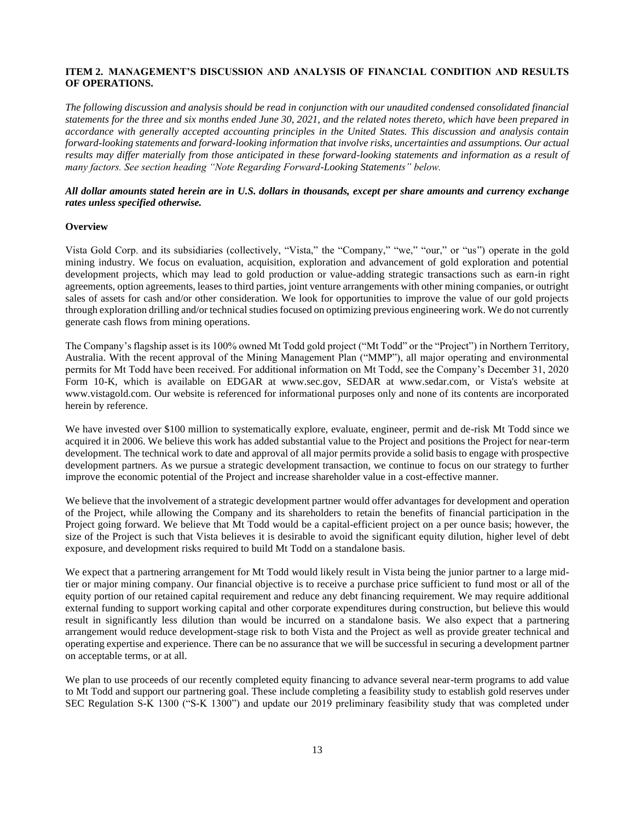# <span id="page-12-0"></span>**ITEM 2. MANAGEMENT'S DISCUSSION AND ANALYSIS OF FINANCIAL CONDITION AND RESULTS OF OPERATIONS.**

*The following discussion and analysis should be read in conjunction with our unaudited condensed consolidated financial statements for the three and six months ended June 30, 2021, and the related notes thereto, which have been prepared in accordance with generally accepted accounting principles in the United States. This discussion and analysis contain forward-looking statements and forward-looking information that involve risks, uncertainties and assumptions. Our actual*  results may differ materially from those anticipated in these forward-looking statements and information as a result of *many factors. See section heading "Note Regarding Forward-Looking Statements" below.*

# *All dollar amounts stated herein are in U.S. dollars in thousands, except per share amounts and currency exchange rates unless specified otherwise.*

#### **Overview**

Vista Gold Corp. and its subsidiaries (collectively, "Vista," the "Company," "we," "our," or "us") operate in the gold mining industry. We focus on evaluation, acquisition, exploration and advancement of gold exploration and potential development projects, which may lead to gold production or value-adding strategic transactions such as earn-in right agreements, option agreements, leases to third parties, joint venture arrangements with other mining companies, or outright sales of assets for cash and/or other consideration. We look for opportunities to improve the value of our gold projects through exploration drilling and/or technical studies focused on optimizing previous engineering work. We do not currently generate cash flows from mining operations.

The Company's flagship asset is its 100% owned Mt Todd gold project ("Mt Todd" or the "Project") in Northern Territory, Australia. With the recent approval of the Mining Management Plan ("MMP"), all major operating and environmental permits for Mt Todd have been received. For additional information on Mt Todd, see the Company's December 31, 2020 Form 10-K, which is available on EDGAR at www.sec.gov, SEDAR at www.sedar.com, or Vista's website at www.vistagold.com. Our website is referenced for informational purposes only and none of its contents are incorporated herein by reference.

We have invested over \$100 million to systematically explore, evaluate, engineer, permit and de-risk Mt Todd since we acquired it in 2006. We believe this work has added substantial value to the Project and positions the Project for near-term development. The technical work to date and approval of all major permits provide a solid basis to engage with prospective development partners. As we pursue a strategic development transaction, we continue to focus on our strategy to further improve the economic potential of the Project and increase shareholder value in a cost-effective manner.

We believe that the involvement of a strategic development partner would offer advantages for development and operation of the Project, while allowing the Company and its shareholders to retain the benefits of financial participation in the Project going forward. We believe that Mt Todd would be a capital-efficient project on a per ounce basis; however, the size of the Project is such that Vista believes it is desirable to avoid the significant equity dilution, higher level of debt exposure, and development risks required to build Mt Todd on a standalone basis.

We expect that a partnering arrangement for Mt Todd would likely result in Vista being the junior partner to a large midtier or major mining company. Our financial objective is to receive a purchase price sufficient to fund most or all of the equity portion of our retained capital requirement and reduce any debt financing requirement. We may require additional external funding to support working capital and other corporate expenditures during construction, but believe this would result in significantly less dilution than would be incurred on a standalone basis. We also expect that a partnering arrangement would reduce development-stage risk to both Vista and the Project as well as provide greater technical and operating expertise and experience. There can be no assurance that we will be successful in securing a development partner on acceptable terms, or at all.

We plan to use proceeds of our recently completed equity financing to advance several near-term programs to add value to Mt Todd and support our partnering goal. These include completing a feasibility study to establish gold reserves under SEC Regulation S-K 1300 ("S-K 1300") and update our 2019 preliminary feasibility study that was completed under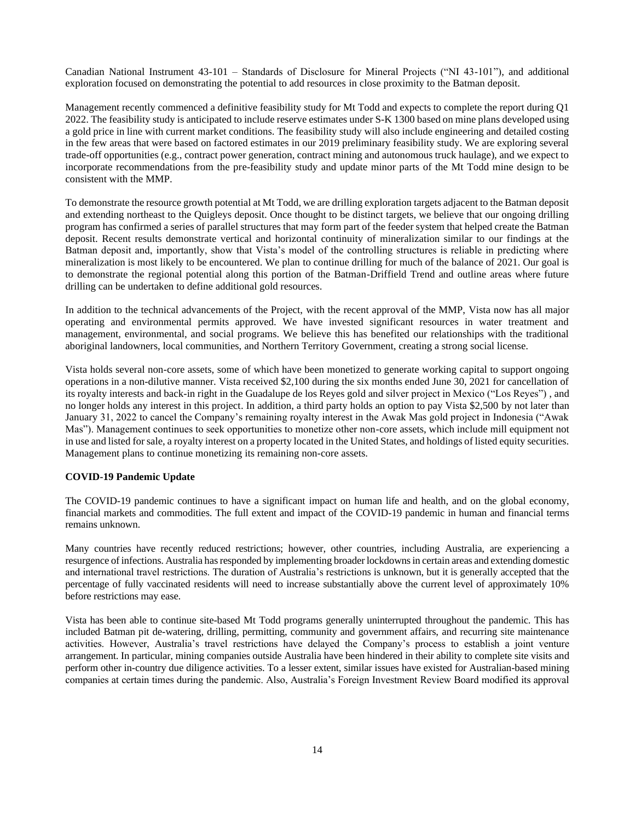Canadian National Instrument 43-101 – Standards of Disclosure for Mineral Projects ("NI 43-101"), and additional exploration focused on demonstrating the potential to add resources in close proximity to the Batman deposit.

Management recently commenced a definitive feasibility study for Mt Todd and expects to complete the report during Q1 2022. The feasibility study is anticipated to include reserve estimates under S-K 1300 based on mine plans developed using a gold price in line with current market conditions. The feasibility study will also include engineering and detailed costing in the few areas that were based on factored estimates in our 2019 preliminary feasibility study. We are exploring several trade-off opportunities (e.g., contract power generation, contract mining and autonomous truck haulage), and we expect to incorporate recommendations from the pre-feasibility study and update minor parts of the Mt Todd mine design to be consistent with the MMP.

To demonstrate the resource growth potential at Mt Todd, we are drilling exploration targets adjacent to the Batman deposit and extending northeast to the Quigleys deposit. Once thought to be distinct targets, we believe that our ongoing drilling program has confirmed a series of parallel structures that may form part of the feeder system that helped create the Batman deposit. Recent results demonstrate vertical and horizontal continuity of mineralization similar to our findings at the Batman deposit and, importantly, show that Vista's model of the controlling structures is reliable in predicting where mineralization is most likely to be encountered. We plan to continue drilling for much of the balance of 2021. Our goal is to demonstrate the regional potential along this portion of the Batman-Driffield Trend and outline areas where future drilling can be undertaken to define additional gold resources.

In addition to the technical advancements of the Project, with the recent approval of the MMP, Vista now has all major operating and environmental permits approved. We have invested significant resources in water treatment and management, environmental, and social programs. We believe this has benefited our relationships with the traditional aboriginal landowners, local communities, and Northern Territory Government, creating a strong social license.

Vista holds several non-core assets, some of which have been monetized to generate working capital to support ongoing operations in a non-dilutive manner. Vista received \$2,100 during the six months ended June 30, 2021 for cancellation of its royalty interests and back-in right in the Guadalupe de los Reyes gold and silver project in Mexico ("Los Reyes") , and no longer holds any interest in this project. In addition, a third party holds an option to pay Vista \$2,500 by not later than January 31, 2022 to cancel the Company's remaining royalty interest in the Awak Mas gold project in Indonesia ("Awak Mas"). Management continues to seek opportunities to monetize other non-core assets, which include mill equipment not in use and listed for sale, a royalty interest on a property located in the United States, and holdings of listed equity securities. Management plans to continue monetizing its remaining non-core assets.

# **COVID-19 Pandemic Update**

The COVID-19 pandemic continues to have a significant impact on human life and health, and on the global economy, financial markets and commodities. The full extent and impact of the COVID-19 pandemic in human and financial terms remains unknown.

Many countries have recently reduced restrictions; however, other countries, including Australia, are experiencing a resurgence of infections. Australia has responded by implementing broader lockdowns in certain areas and extending domestic and international travel restrictions. The duration of Australia's restrictions is unknown, but it is generally accepted that the percentage of fully vaccinated residents will need to increase substantially above the current level of approximately 10% before restrictions may ease.

Vista has been able to continue site-based Mt Todd programs generally uninterrupted throughout the pandemic. This has included Batman pit de-watering, drilling, permitting, community and government affairs, and recurring site maintenance activities. However, Australia's travel restrictions have delayed the Company's process to establish a joint venture arrangement. In particular, mining companies outside Australia have been hindered in their ability to complete site visits and perform other in-country due diligence activities. To a lesser extent, similar issues have existed for Australian-based mining companies at certain times during the pandemic. Also, Australia's Foreign Investment Review Board modified its approval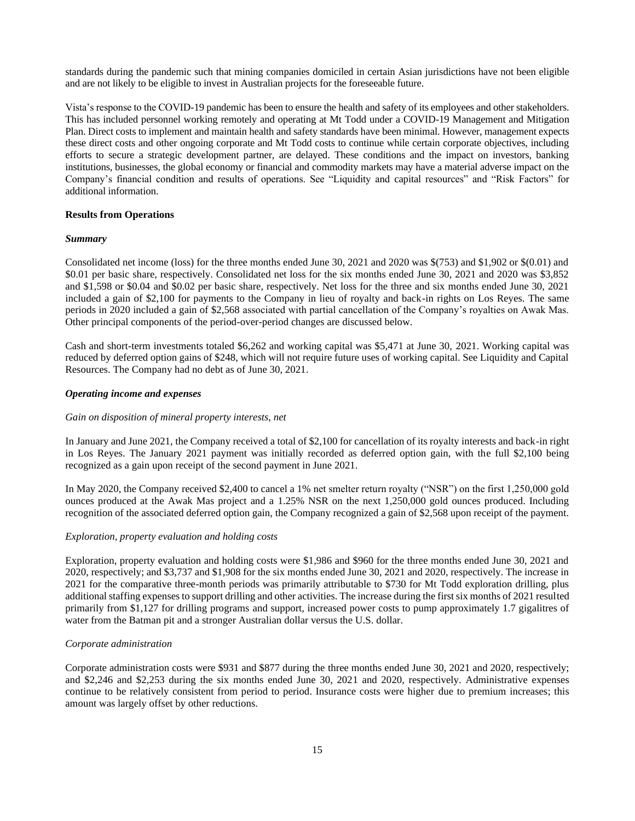standards during the pandemic such that mining companies domiciled in certain Asian jurisdictions have not been eligible and are not likely to be eligible to invest in Australian projects for the foreseeable future.

Vista's response to the COVID-19 pandemic has been to ensure the health and safety of its employees and other stakeholders. This has included personnel working remotely and operating at Mt Todd under a COVID-19 Management and Mitigation Plan. Direct costs to implement and maintain health and safety standards have been minimal. However, management expects these direct costs and other ongoing corporate and Mt Todd costs to continue while certain corporate objectives, including efforts to secure a strategic development partner, are delayed. These conditions and the impact on investors, banking institutions, businesses, the global economy or financial and commodity markets may have a material adverse impact on the Company's financial condition and results of operations. See "Liquidity and capital resources" and "Risk Factors" for additional information.

#### **Results from Operations**

#### *Summary*

Consolidated net income (loss) for the three months ended June 30, 2021 and 2020 was \$(753) and \$1,902 or \$(0.01) and \$0.01 per basic share, respectively. Consolidated net loss for the six months ended June 30, 2021 and 2020 was \$3,852 and \$1,598 or \$0.04 and \$0.02 per basic share, respectively. Net loss for the three and six months ended June 30, 2021 included a gain of \$2,100 for payments to the Company in lieu of royalty and back-in rights on Los Reyes. The same periods in 2020 included a gain of \$2,568 associated with partial cancellation of the Company's royalties on Awak Mas. Other principal components of the period-over-period changes are discussed below.

Cash and short-term investments totaled \$6,262 and working capital was \$5,471 at June 30, 2021. Working capital was reduced by deferred option gains of \$248, which will not require future uses of working capital. See Liquidity and Capital Resources. The Company had no debt as of June 30, 2021.

#### *Operating income and expenses*

#### *Gain on disposition of mineral property interests, net*

In January and June 2021, the Company received a total of \$2,100 for cancellation of its royalty interests and back-in right in Los Reyes. The January 2021 payment was initially recorded as deferred option gain, with the full \$2,100 being recognized as a gain upon receipt of the second payment in June 2021.

In May 2020, the Company received \$2,400 to cancel a 1% net smelter return royalty ("NSR") on the first 1,250,000 gold ounces produced at the Awak Mas project and a 1.25% NSR on the next 1,250,000 gold ounces produced. Including recognition of the associated deferred option gain, the Company recognized a gain of \$2,568 upon receipt of the payment.

#### *Exploration, property evaluation and holding costs*

Exploration, property evaluation and holding costs were \$1,986 and \$960 for the three months ended June 30, 2021 and 2020, respectively; and \$3,737 and \$1,908 for the six months ended June 30, 2021 and 2020, respectively. The increase in 2021 for the comparative three-month periods was primarily attributable to \$730 for Mt Todd exploration drilling, plus additional staffing expenses to support drilling and other activities. The increase during the first six months of 2021 resulted primarily from \$1,127 for drilling programs and support, increased power costs to pump approximately 1.7 gigalitres of water from the Batman pit and a stronger Australian dollar versus the U.S. dollar.

## *Corporate administration*

Corporate administration costs were \$931 and \$877 during the three months ended June 30, 2021 and 2020, respectively; and \$2,246 and \$2,253 during the six months ended June 30, 2021 and 2020, respectively. Administrative expenses continue to be relatively consistent from period to period. Insurance costs were higher due to premium increases; this amount was largely offset by other reductions.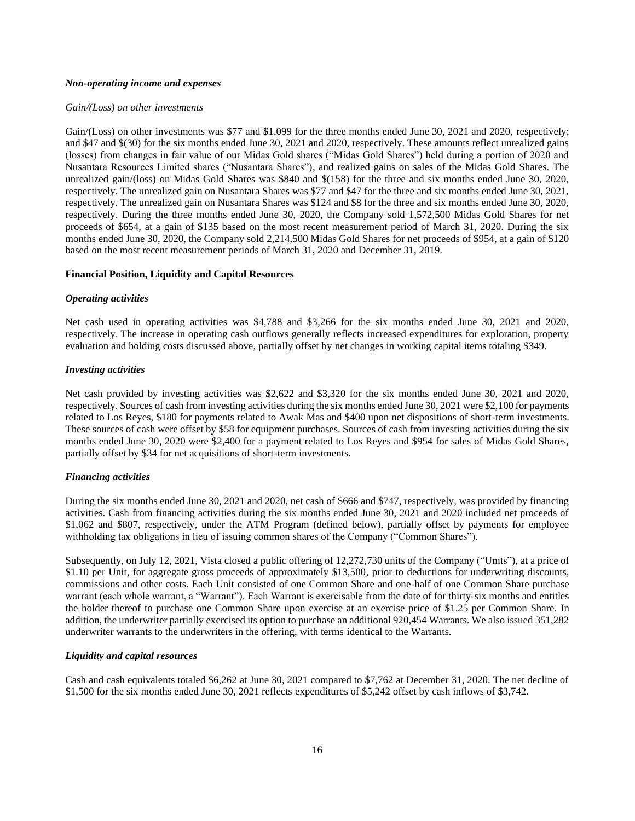#### *Non-operating income and expenses*

#### *Gain/(Loss) on other investments*

Gain/(Loss) on other investments was \$77 and \$1,099 for the three months ended June 30, 2021 and 2020, respectively; and \$47 and \$(30) for the six months ended June 30, 2021 and 2020, respectively. These amounts reflect unrealized gains (losses) from changes in fair value of our Midas Gold shares ("Midas Gold Shares") held during a portion of 2020 and Nusantara Resources Limited shares ("Nusantara Shares"), and realized gains on sales of the Midas Gold Shares. The unrealized gain/(loss) on Midas Gold Shares was \$840 and \$(158) for the three and six months ended June 30, 2020, respectively. The unrealized gain on Nusantara Shares was \$77 and \$47 for the three and six months ended June 30, 2021, respectively. The unrealized gain on Nusantara Shares was \$124 and \$8 for the three and six months ended June 30, 2020, respectively. During the three months ended June 30, 2020, the Company sold 1,572,500 Midas Gold Shares for net proceeds of \$654, at a gain of \$135 based on the most recent measurement period of March 31, 2020. During the six months ended June 30, 2020, the Company sold 2,214,500 Midas Gold Shares for net proceeds of \$954, at a gain of \$120 based on the most recent measurement periods of March 31, 2020 and December 31, 2019.

#### **Financial Position, Liquidity and Capital Resources**

#### *Operating activities*

Net cash used in operating activities was \$4,788 and \$3,266 for the six months ended June 30, 2021 and 2020, respectively. The increase in operating cash outflows generally reflects increased expenditures for exploration, property evaluation and holding costs discussed above, partially offset by net changes in working capital items totaling \$349.

#### *Investing activities*

Net cash provided by investing activities was \$2,622 and \$3,320 for the six months ended June 30, 2021 and 2020, respectively. Sources of cash from investing activities during the six months ended June 30, 2021 were \$2,100 for payments related to Los Reyes, \$180 for payments related to Awak Mas and \$400 upon net dispositions of short-term investments. These sources of cash were offset by \$58 for equipment purchases. Sources of cash from investing activities during the six months ended June 30, 2020 were \$2,400 for a payment related to Los Reyes and \$954 for sales of Midas Gold Shares, partially offset by \$34 for net acquisitions of short-term investments.

## *Financing activities*

During the six months ended June 30, 2021 and 2020, net cash of \$666 and \$747, respectively, was provided by financing activities. Cash from financing activities during the six months ended June 30, 2021 and 2020 included net proceeds of \$1,062 and \$807, respectively, under the ATM Program (defined below), partially offset by payments for employee withholding tax obligations in lieu of issuing common shares of the Company ("Common Shares").

Subsequently, on July 12, 2021, Vista closed a public offering of 12,272,730 units of the Company ("Units"), at a price of \$1.10 per Unit, for aggregate gross proceeds of approximately \$13,500, prior to deductions for underwriting discounts, commissions and other costs. Each Unit consisted of one Common Share and one-half of one Common Share purchase warrant (each whole warrant, a "Warrant"). Each Warrant is exercisable from the date of for thirty-six months and entitles the holder thereof to purchase one Common Share upon exercise at an exercise price of \$1.25 per Common Share. In addition, the underwriter partially exercised its option to purchase an additional 920,454 Warrants. We also issued 351,282 underwriter warrants to the underwriters in the offering, with terms identical to the Warrants.

## *Liquidity and capital resources*

Cash and cash equivalents totaled \$6,262 at June 30, 2021 compared to \$7,762 at December 31, 2020. The net decline of \$1,500 for the six months ended June 30, 2021 reflects expenditures of \$5,242 offset by cash inflows of \$3,742.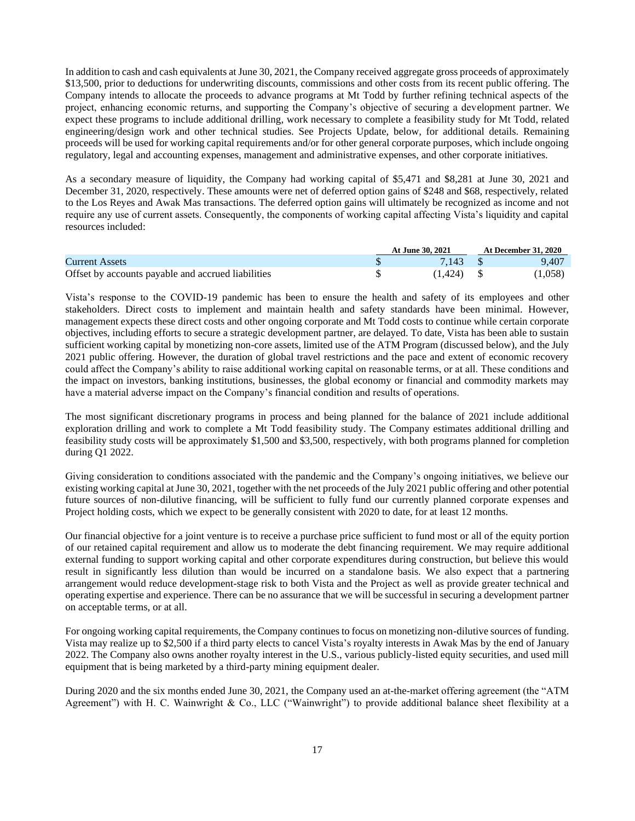In addition to cash and cash equivalents at June 30, 2021, the Company received aggregate gross proceeds of approximately \$13,500, prior to deductions for underwriting discounts, commissions and other costs from its recent public offering. The Company intends to allocate the proceeds to advance programs at Mt Todd by further refining technical aspects of the project, enhancing economic returns, and supporting the Company's objective of securing a development partner. We expect these programs to include additional drilling, work necessary to complete a feasibility study for Mt Todd, related engineering/design work and other technical studies. See Projects Update, below, for additional details. Remaining proceeds will be used for working capital requirements and/or for other general corporate purposes, which include ongoing regulatory, legal and accounting expenses, management and administrative expenses, and other corporate initiatives.

As a secondary measure of liquidity, the Company had working capital of \$5,471 and \$8,281 at June 30, 2021 and December 31, 2020, respectively. These amounts were net of deferred option gains of \$248 and \$68, respectively, related to the Los Reyes and Awak Mas transactions. The deferred option gains will ultimately be recognized as income and not require any use of current assets. Consequently, the components of working capital affecting Vista's liquidity and capital resources included:

|                                                    | At June 30, 2021 | <b>At December 31, 2020</b> |
|----------------------------------------------------|------------------|-----------------------------|
| <b>Current Assets</b>                              |                  | 9.407                       |
| Offset by accounts payable and accrued liabilities | (1.424)          | (1,058)                     |

Vista's response to the COVID-19 pandemic has been to ensure the health and safety of its employees and other stakeholders. Direct costs to implement and maintain health and safety standards have been minimal. However, management expects these direct costs and other ongoing corporate and Mt Todd costs to continue while certain corporate objectives, including efforts to secure a strategic development partner, are delayed. To date, Vista has been able to sustain sufficient working capital by monetizing non-core assets, limited use of the ATM Program (discussed below), and the July 2021 public offering. However, the duration of global travel restrictions and the pace and extent of economic recovery could affect the Company's ability to raise additional working capital on reasonable terms, or at all. These conditions and the impact on investors, banking institutions, businesses, the global economy or financial and commodity markets may have a material adverse impact on the Company's financial condition and results of operations.

The most significant discretionary programs in process and being planned for the balance of 2021 include additional exploration drilling and work to complete a Mt Todd feasibility study. The Company estimates additional drilling and feasibility study costs will be approximately \$1,500 and \$3,500, respectively, with both programs planned for completion during Q1 2022.

Giving consideration to conditions associated with the pandemic and the Company's ongoing initiatives, we believe our existing working capital at June 30, 2021, together with the net proceeds of the July 2021 public offering and other potential future sources of non-dilutive financing, will be sufficient to fully fund our currently planned corporate expenses and Project holding costs, which we expect to be generally consistent with 2020 to date, for at least 12 months.

Our financial objective for a joint venture is to receive a purchase price sufficient to fund most or all of the equity portion of our retained capital requirement and allow us to moderate the debt financing requirement. We may require additional external funding to support working capital and other corporate expenditures during construction, but believe this would result in significantly less dilution than would be incurred on a standalone basis. We also expect that a partnering arrangement would reduce development-stage risk to both Vista and the Project as well as provide greater technical and operating expertise and experience. There can be no assurance that we will be successful in securing a development partner on acceptable terms, or at all.

For ongoing working capital requirements, the Company continues to focus on monetizing non-dilutive sources of funding. Vista may realize up to \$2,500 if a third party elects to cancel Vista's royalty interests in Awak Mas by the end of January 2022. The Company also owns another royalty interest in the U.S., various publicly-listed equity securities, and used mill equipment that is being marketed by a third-party mining equipment dealer.

During 2020 and the six months ended June 30, 2021, the Company used an at-the-market offering agreement (the "ATM Agreement") with H. C. Wainwright & Co., LLC ("Wainwright") to provide additional balance sheet flexibility at a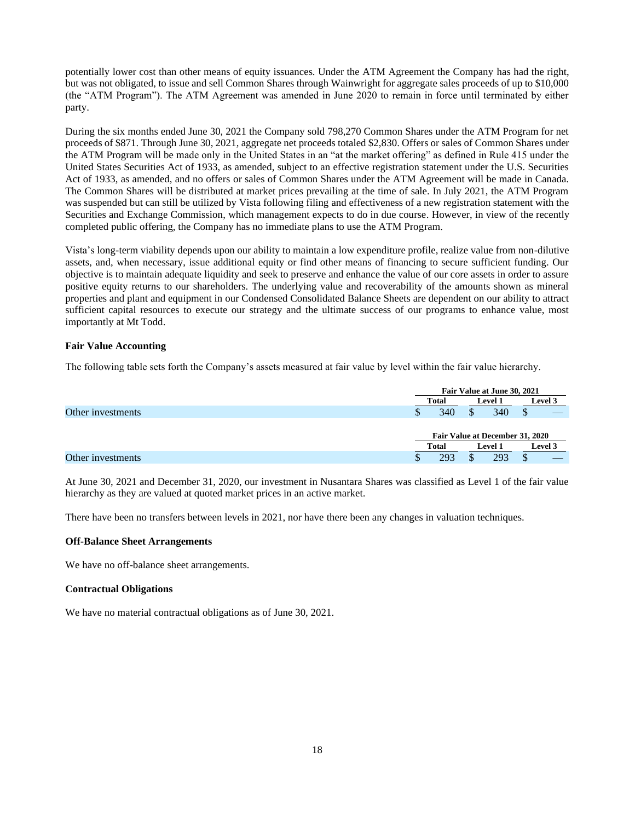potentially lower cost than other means of equity issuances. Under the ATM Agreement the Company has had the right, but was not obligated, to issue and sell Common Shares through Wainwright for aggregate sales proceeds of up to \$10,000 (the "ATM Program"). The ATM Agreement was amended in June 2020 to remain in force until terminated by either party.

During the six months ended June 30, 2021 the Company sold 798,270 Common Shares under the ATM Program for net proceeds of \$871. Through June 30, 2021, aggregate net proceeds totaled \$2,830. Offers or sales of Common Shares under the ATM Program will be made only in the United States in an "at the market offering" as defined in Rule 415 under the United States Securities Act of 1933, as amended, subject to an effective registration statement under the U.S. Securities Act of 1933, as amended, and no offers or sales of Common Shares under the ATM Agreement will be made in Canada. The Common Shares will be distributed at market prices prevailing at the time of sale. In July 2021, the ATM Program was suspended but can still be utilized by Vista following filing and effectiveness of a new registration statement with the Securities and Exchange Commission, which management expects to do in due course. However, in view of the recently completed public offering, the Company has no immediate plans to use the ATM Program.

Vista's long-term viability depends upon our ability to maintain a low expenditure profile, realize value from non-dilutive assets, and, when necessary, issue additional equity or find other means of financing to secure sufficient funding. Our objective is to maintain adequate liquidity and seek to preserve and enhance the value of our core assets in order to assure positive equity returns to our shareholders. The underlying value and recoverability of the amounts shown as mineral properties and plant and equipment in our Condensed Consolidated Balance Sheets are dependent on our ability to attract sufficient capital resources to execute our strategy and the ultimate success of our programs to enhance value, most importantly at Mt Todd.

#### **Fair Value Accounting**

The following table sets forth the Company's assets measured at fair value by level within the fair value hierarchy.

|                   |              | Fair Value at June 30, 2021 |                                 |         |
|-------------------|--------------|-----------------------------|---------------------------------|---------|
|                   | <b>Total</b> |                             | <b>Level 1</b>                  | Level 3 |
| Other investments | Φ            | 340                         | 340<br>$\triangle$              |         |
|                   |              |                             |                                 |         |
|                   |              |                             | Fair Value at December 31, 2020 |         |
|                   | Total        |                             | <b>Level 1</b>                  | Level 3 |
| Other investments |              | 293                         | 293                             |         |

At June 30, 2021 and December 31, 2020, our investment in Nusantara Shares was classified as Level 1 of the fair value hierarchy as they are valued at quoted market prices in an active market.

There have been no transfers between levels in 2021, nor have there been any changes in valuation techniques.

#### **Off-Balance Sheet Arrangements**

We have no off-balance sheet arrangements.

#### **Contractual Obligations**

We have no material contractual obligations as of June 30, 2021.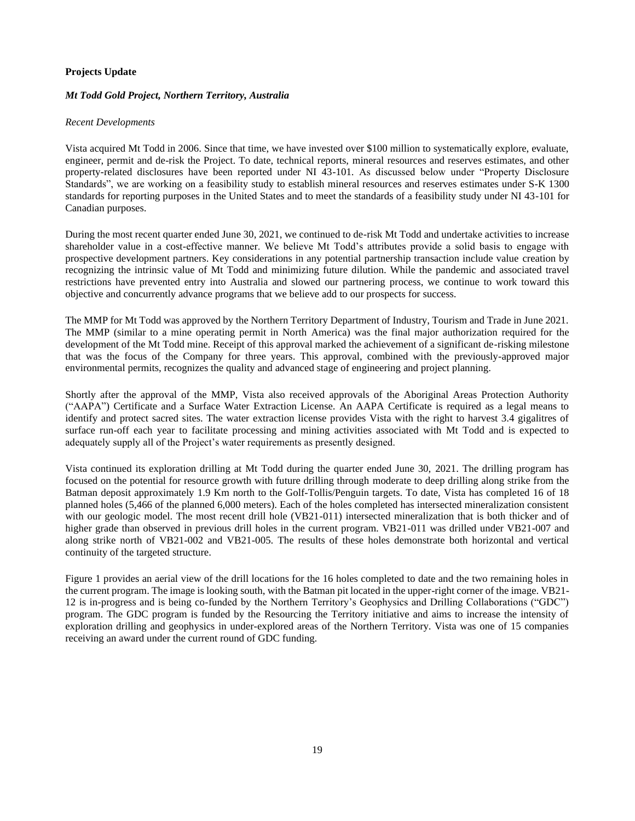# **Projects Update**

# *Mt Todd Gold Project, Northern Territory, Australia*

# *Recent Developments*

Vista acquired Mt Todd in 2006. Since that time, we have invested over \$100 million to systematically explore, evaluate, engineer, permit and de-risk the Project. To date, technical reports, mineral resources and reserves estimates, and other property-related disclosures have been reported under NI 43-101. As discussed below under "Property Disclosure Standards", we are working on a feasibility study to establish mineral resources and reserves estimates under S-K 1300 standards for reporting purposes in the United States and to meet the standards of a feasibility study under NI 43-101 for Canadian purposes.

During the most recent quarter ended June 30, 2021, we continued to de-risk Mt Todd and undertake activities to increase shareholder value in a cost-effective manner. We believe Mt Todd's attributes provide a solid basis to engage with prospective development partners. Key considerations in any potential partnership transaction include value creation by recognizing the intrinsic value of Mt Todd and minimizing future dilution. While the pandemic and associated travel restrictions have prevented entry into Australia and slowed our partnering process, we continue to work toward this objective and concurrently advance programs that we believe add to our prospects for success.

The MMP for Mt Todd was approved by the Northern Territory Department of Industry, Tourism and Trade in June 2021. The MMP (similar to a mine operating permit in North America) was the final major authorization required for the development of the Mt Todd mine. Receipt of this approval marked the achievement of a significant de-risking milestone that was the focus of the Company for three years. This approval, combined with the previously-approved major environmental permits, recognizes the quality and advanced stage of engineering and project planning.

Shortly after the approval of the MMP, Vista also received approvals of the Aboriginal Areas Protection Authority ("AAPA") Certificate and a Surface Water Extraction License. An AAPA Certificate is required as a legal means to identify and protect sacred sites. The water extraction license provides Vista with the right to harvest 3.4 gigalitres of surface run-off each year to facilitate processing and mining activities associated with Mt Todd and is expected to adequately supply all of the Project's water requirements as presently designed.

Vista continued its exploration drilling at Mt Todd during the quarter ended June 30, 2021. The drilling program has focused on the potential for resource growth with future drilling through moderate to deep drilling along strike from the Batman deposit approximately 1.9 Km north to the Golf-Tollis/Penguin targets. To date, Vista has completed 16 of 18 planned holes (5,466 of the planned 6,000 meters). Each of the holes completed has intersected mineralization consistent with our geologic model. The most recent drill hole (VB21-011) intersected mineralization that is both thicker and of higher grade than observed in previous drill holes in the current program. VB21-011 was drilled under VB21-007 and along strike north of VB21-002 and VB21-005. The results of these holes demonstrate both horizontal and vertical continuity of the targeted structure.

Figure 1 provides an aerial view of the drill locations for the 16 holes completed to date and the two remaining holes in the current program. The image is looking south, with the Batman pit located in the upper-right corner of the image. VB21- 12 is in-progress and is being co-funded by the Northern Territory's Geophysics and Drilling Collaborations ("GDC") program. The GDC program is funded by the Resourcing the Territory initiative and aims to increase the intensity of exploration drilling and geophysics in under-explored areas of the Northern Territory. Vista was one of 15 companies receiving an award under the current round of GDC funding.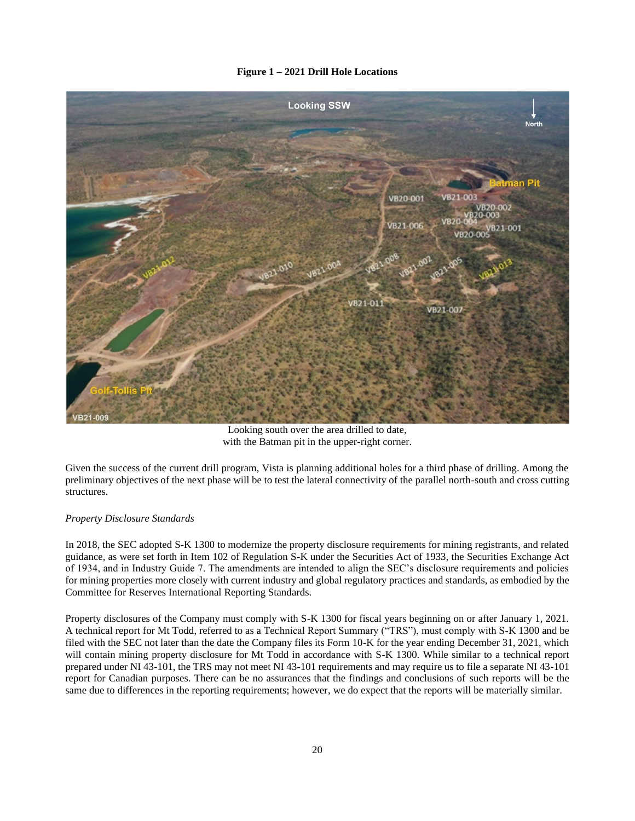# **Figure 1 – 2021 Drill Hole Locations**



Looking south over the area drilled to date, with the Batman pit in the upper-right corner.

Given the success of the current drill program, Vista is planning additional holes for a third phase of drilling. Among the preliminary objectives of the next phase will be to test the lateral connectivity of the parallel north-south and cross cutting structures.

# *Property Disclosure Standards*

In 2018, the SEC adopted S-K 1300 to modernize the property disclosure requirements for mining registrants, and related guidance, as were set forth in Item 102 of Regulation S-K under the Securities Act of 1933, the Securities Exchange Act of 1934, and in Industry Guide 7. The amendments are intended to align the SEC's disclosure requirements and policies for mining properties more closely with current industry and global regulatory practices and standards, as embodied by the Committee for Reserves International Reporting Standards.

Property disclosures of the Company must comply with S-K 1300 for fiscal years beginning on or after January 1, 2021. A technical report for Mt Todd, referred to as a Technical Report Summary ("TRS"), must comply with S-K 1300 and be filed with the SEC not later than the date the Company files its Form 10-K for the year ending December 31, 2021, which will contain mining property disclosure for Mt Todd in accordance with S-K 1300. While similar to a technical report prepared under NI 43-101, the TRS may not meet NI 43-101 requirements and may require us to file a separate NI 43-101 report for Canadian purposes. There can be no assurances that the findings and conclusions of such reports will be the same due to differences in the reporting requirements; however, we do expect that the reports will be materially similar.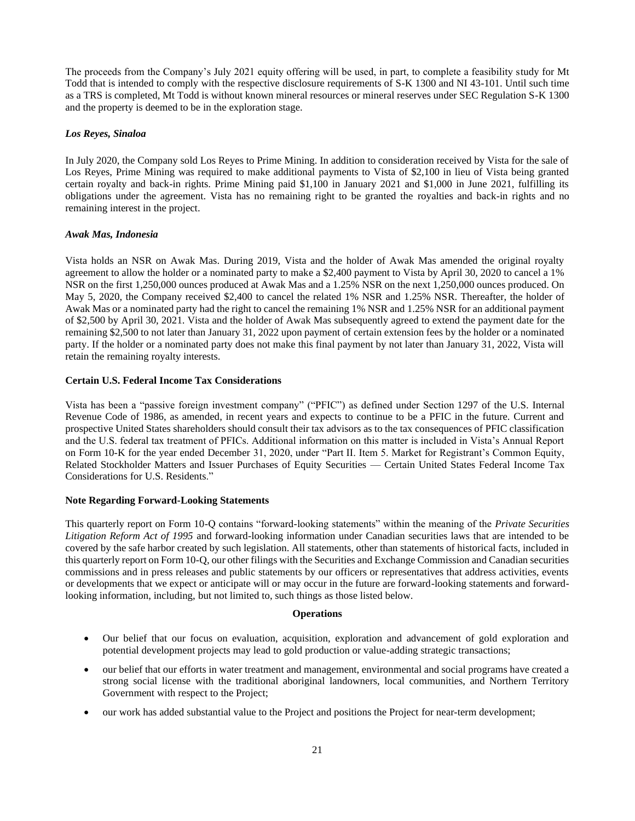The proceeds from the Company's July 2021 equity offering will be used, in part, to complete a feasibility study for Mt Todd that is intended to comply with the respective disclosure requirements of S-K 1300 and NI 43-101. Until such time as a TRS is completed, Mt Todd is without known mineral resources or mineral reserves under SEC Regulation S-K 1300 and the property is deemed to be in the exploration stage.

# *Los Reyes, Sinaloa*

In July 2020, the Company sold Los Reyes to Prime Mining. In addition to consideration received by Vista for the sale of Los Reyes, Prime Mining was required to make additional payments to Vista of \$2,100 in lieu of Vista being granted certain royalty and back-in rights. Prime Mining paid \$1,100 in January 2021 and \$1,000 in June 2021, fulfilling its obligations under the agreement. Vista has no remaining right to be granted the royalties and back-in rights and no remaining interest in the project.

# *Awak Mas, Indonesia*

Vista holds an NSR on Awak Mas. During 2019, Vista and the holder of Awak Mas amended the original royalty agreement to allow the holder or a nominated party to make a \$2,400 payment to Vista by April 30, 2020 to cancel a 1% NSR on the first 1,250,000 ounces produced at Awak Mas and a 1.25% NSR on the next 1,250,000 ounces produced. On May 5, 2020, the Company received \$2,400 to cancel the related 1% NSR and 1.25% NSR. Thereafter, the holder of Awak Mas or a nominated party had the right to cancel the remaining 1% NSR and 1.25% NSR for an additional payment of \$2,500 by April 30, 2021. Vista and the holder of Awak Mas subsequently agreed to extend the payment date for the remaining \$2,500 to not later than January 31, 2022 upon payment of certain extension fees by the holder or a nominated party. If the holder or a nominated party does not make this final payment by not later than January 31, 2022, Vista will retain the remaining royalty interests.

# **Certain U.S. Federal Income Tax Considerations**

Vista has been a "passive foreign investment company" ("PFIC") as defined under Section 1297 of the U.S. Internal Revenue Code of 1986, as amended, in recent years and expects to continue to be a PFIC in the future. Current and prospective United States shareholders should consult their tax advisors as to the tax consequences of PFIC classification and the U.S. federal tax treatment of PFICs. Additional information on this matter is included in Vista's Annual Report on Form 10-K for the year ended December 31, 2020, under "Part II. Item 5. Market for Registrant's Common Equity, Related Stockholder Matters and Issuer Purchases of Equity Securities — Certain United States Federal Income Tax Considerations for U.S. Residents."

# **Note Regarding Forward-Looking Statements**

This quarterly report on Form 10-Q contains "forward-looking statements" within the meaning of the *Private Securities Litigation Reform Act of 1995* and forward-looking information under Canadian securities laws that are intended to be covered by the safe harbor created by such legislation. All statements, other than statements of historical facts, included in this quarterly report on Form 10-Q, our other filings with the Securities and Exchange Commission and Canadian securities commissions and in press releases and public statements by our officers or representatives that address activities, events or developments that we expect or anticipate will or may occur in the future are forward-looking statements and forwardlooking information, including, but not limited to, such things as those listed below.

# **Operations**

- Our belief that our focus on evaluation, acquisition, exploration and advancement of gold exploration and potential development projects may lead to gold production or value-adding strategic transactions;
- our belief that our efforts in water treatment and management, environmental and social programs have created a strong social license with the traditional aboriginal landowners, local communities, and Northern Territory Government with respect to the Project;
- our work has added substantial value to the Project and positions the Project for near-term development;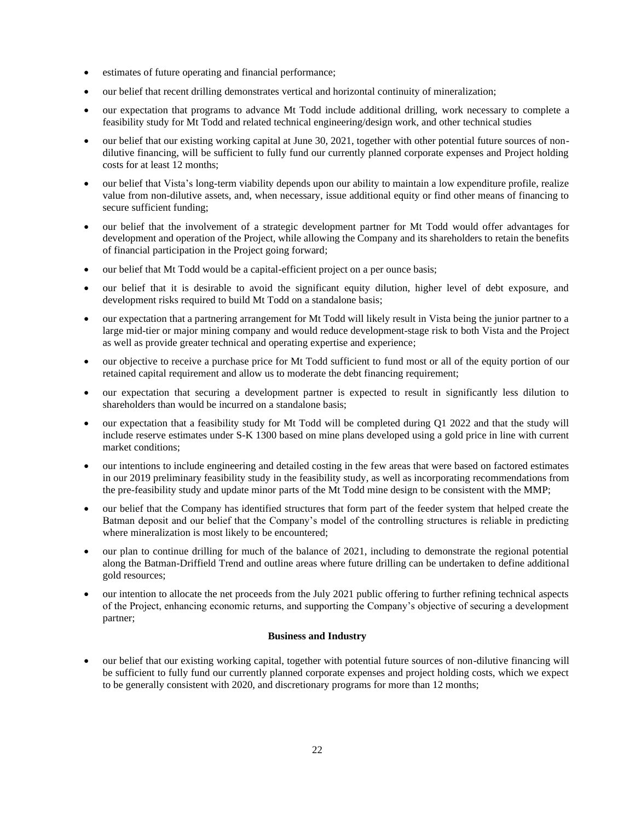- estimates of future operating and financial performance;
- our belief that recent drilling demonstrates vertical and horizontal continuity of mineralization;
- our expectation that programs to advance Mt Todd include additional drilling, work necessary to complete a feasibility study for Mt Todd and related technical engineering/design work, and other technical studies
- our belief that our existing working capital at June 30, 2021, together with other potential future sources of nondilutive financing, will be sufficient to fully fund our currently planned corporate expenses and Project holding costs for at least 12 months;
- our belief that Vista's long-term viability depends upon our ability to maintain a low expenditure profile, realize value from non-dilutive assets, and, when necessary, issue additional equity or find other means of financing to secure sufficient funding;
- our belief that the involvement of a strategic development partner for Mt Todd would offer advantages for development and operation of the Project, while allowing the Company and its shareholders to retain the benefits of financial participation in the Project going forward;
- our belief that Mt Todd would be a capital-efficient project on a per ounce basis;
- our belief that it is desirable to avoid the significant equity dilution, higher level of debt exposure, and development risks required to build Mt Todd on a standalone basis;
- our expectation that a partnering arrangement for Mt Todd will likely result in Vista being the junior partner to a large mid-tier or major mining company and would reduce development-stage risk to both Vista and the Project as well as provide greater technical and operating expertise and experience;
- our objective to receive a purchase price for Mt Todd sufficient to fund most or all of the equity portion of our retained capital requirement and allow us to moderate the debt financing requirement;
- our expectation that securing a development partner is expected to result in significantly less dilution to shareholders than would be incurred on a standalone basis;
- our expectation that a feasibility study for Mt Todd will be completed during Q1 2022 and that the study will include reserve estimates under S-K 1300 based on mine plans developed using a gold price in line with current market conditions;
- our intentions to include engineering and detailed costing in the few areas that were based on factored estimates in our 2019 preliminary feasibility study in the feasibility study, as well as incorporating recommendations from the pre-feasibility study and update minor parts of the Mt Todd mine design to be consistent with the MMP;
- our belief that the Company has identified structures that form part of the feeder system that helped create the Batman deposit and our belief that the Company's model of the controlling structures is reliable in predicting where mineralization is most likely to be encountered;
- our plan to continue drilling for much of the balance of 2021, including to demonstrate the regional potential along the Batman-Driffield Trend and outline areas where future drilling can be undertaken to define additional gold resources;
- our intention to allocate the net proceeds from the July 2021 public offering to further refining technical aspects of the Project, enhancing economic returns, and supporting the Company's objective of securing a development partner;

#### **Business and Industry**

• our belief that our existing working capital, together with potential future sources of non-dilutive financing will be sufficient to fully fund our currently planned corporate expenses and project holding costs, which we expect to be generally consistent with 2020, and discretionary programs for more than 12 months;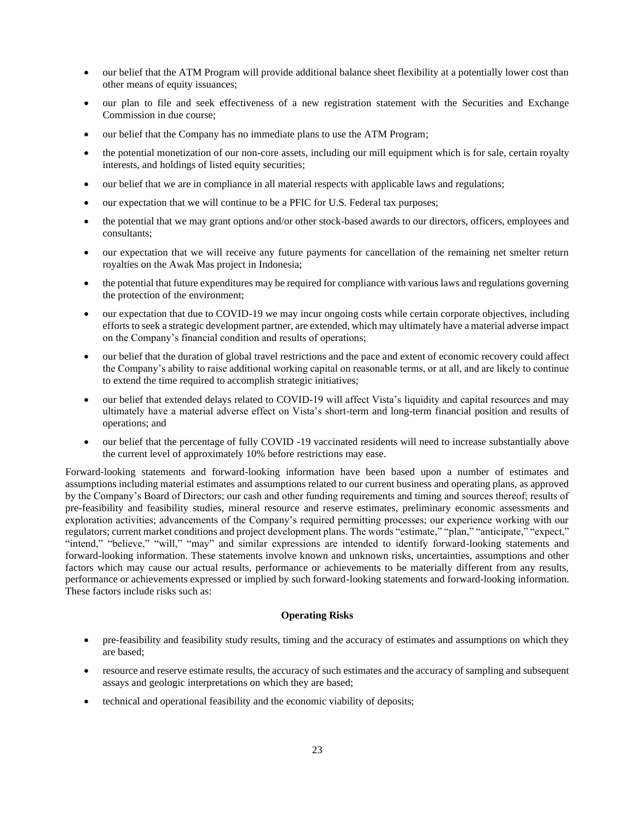- our belief that the ATM Program will provide additional balance sheet flexibility at a potentially lower cost than other means of equity issuances;
- our plan to file and seek effectiveness of a new registration statement with the Securities and Exchange Commission in due course;
- our belief that the Company has no immediate plans to use the ATM Program;
- the potential monetization of our non-core assets, including our mill equipment which is for sale, certain royalty interests, and holdings of listed equity securities;
- our belief that we are in compliance in all material respects with applicable laws and regulations;
- our expectation that we will continue to be a PFIC for U.S. Federal tax purposes;
- the potential that we may grant options and/or other stock-based awards to our directors, officers, employees and consultants;
- our expectation that we will receive any future payments for cancellation of the remaining net smelter return royalties on the Awak Mas project in Indonesia;
- the potential that future expenditures may be required for compliance with various laws and regulations governing the protection of the environment;
- our expectation that due to COVID-19 we may incur ongoing costs while certain corporate objectives, including efforts to seek a strategic development partner, are extended, which may ultimately have a material adverse impact on the Company's financial condition and results of operations;
- our belief that the duration of global travel restrictions and the pace and extent of economic recovery could affect the Company's ability to raise additional working capital on reasonable terms, or at all, and are likely to continue to extend the time required to accomplish strategic initiatives;
- our belief that extended delays related to COVID-19 will affect Vista's liquidity and capital resources and may ultimately have a material adverse effect on Vista's short-term and long-term financial position and results of operations; and
- our belief that the percentage of fully COVID -19 vaccinated residents will need to increase substantially above the current level of approximately 10% before restrictions may ease.

Forward-looking statements and forward-looking information have been based upon a number of estimates and assumptions including material estimates and assumptions related to our current business and operating plans, as approved by the Company's Board of Directors; our cash and other funding requirements and timing and sources thereof; results of pre-feasibility and feasibility studies, mineral resource and reserve estimates, preliminary economic assessments and exploration activities; advancements of the Company's required permitting processes; our experience working with our regulators; current market conditions and project development plans. The words "estimate," "plan," "anticipate," "expect," "intend," "believe," "will," "may" and similar expressions are intended to identify forward-looking statements and forward-looking information. These statements involve known and unknown risks, uncertainties, assumptions and other factors which may cause our actual results, performance or achievements to be materially different from any results, performance or achievements expressed or implied by such forward-looking statements and forward-looking information. These factors include risks such as:

## **Operating Risks**

- pre-feasibility and feasibility study results, timing and the accuracy of estimates and assumptions on which they are based;
- resource and reserve estimate results, the accuracy of such estimates and the accuracy of sampling and subsequent assays and geologic interpretations on which they are based;
- technical and operational feasibility and the economic viability of deposits;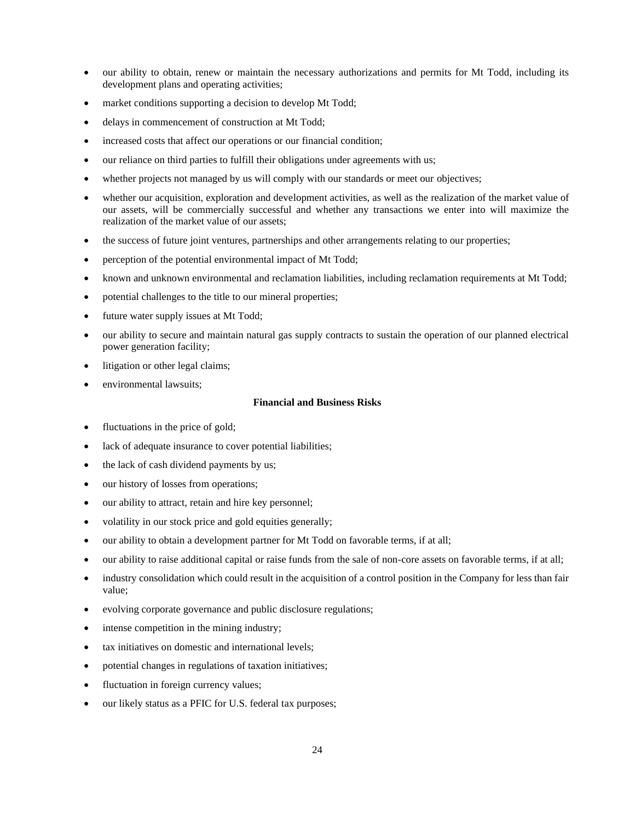- our ability to obtain, renew or maintain the necessary authorizations and permits for Mt Todd, including its development plans and operating activities;
- market conditions supporting a decision to develop Mt Todd;
- delays in commencement of construction at Mt Todd;
- increased costs that affect our operations or our financial condition;
- our reliance on third parties to fulfill their obligations under agreements with us;
- whether projects not managed by us will comply with our standards or meet our objectives;
- whether our acquisition, exploration and development activities, as well as the realization of the market value of our assets, will be commercially successful and whether any transactions we enter into will maximize the realization of the market value of our assets;
- the success of future joint ventures, partnerships and other arrangements relating to our properties;
- perception of the potential environmental impact of Mt Todd;
- known and unknown environmental and reclamation liabilities, including reclamation requirements at Mt Todd;
- potential challenges to the title to our mineral properties;
- future water supply issues at Mt Todd;
- our ability to secure and maintain natural gas supply contracts to sustain the operation of our planned electrical power generation facility;
- litigation or other legal claims;
- environmental lawsuits;

#### **Financial and Business Risks**

- fluctuations in the price of gold;
- lack of adequate insurance to cover potential liabilities;
- the lack of cash dividend payments by us;
- our history of losses from operations;
- our ability to attract, retain and hire key personnel;
- volatility in our stock price and gold equities generally;
- our ability to obtain a development partner for Mt Todd on favorable terms, if at all;
- our ability to raise additional capital or raise funds from the sale of non-core assets on favorable terms, if at all;
- industry consolidation which could result in the acquisition of a control position in the Company for less than fair value;
- evolving corporate governance and public disclosure regulations;
- intense competition in the mining industry;
- tax initiatives on domestic and international levels;
- potential changes in regulations of taxation initiatives;
- fluctuation in foreign currency values;
- our likely status as a PFIC for U.S. federal tax purposes;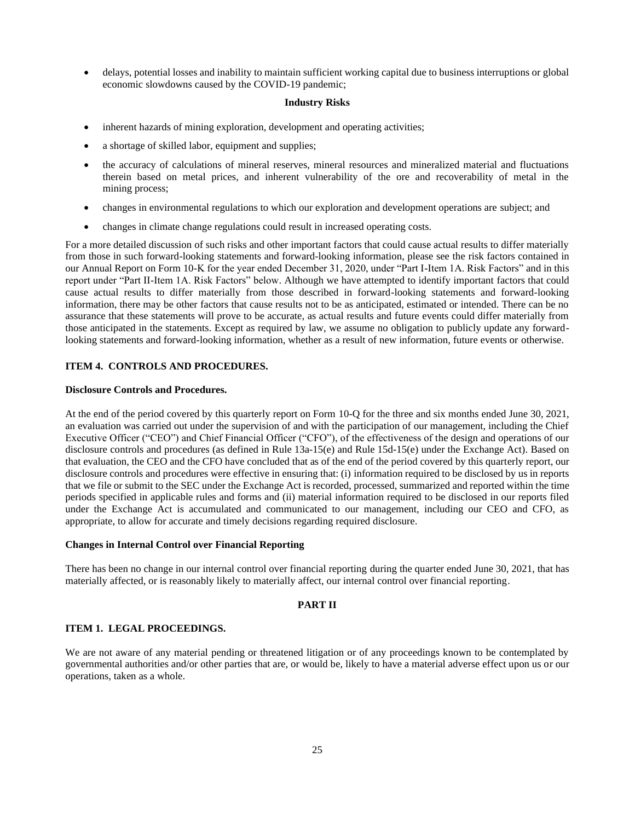• delays, potential losses and inability to maintain sufficient working capital due to business interruptions or global economic slowdowns caused by the COVID-19 pandemic;

#### **Industry Risks**

- inherent hazards of mining exploration, development and operating activities;
- a shortage of skilled labor, equipment and supplies;
- the accuracy of calculations of mineral reserves, mineral resources and mineralized material and fluctuations therein based on metal prices, and inherent vulnerability of the ore and recoverability of metal in the mining process;
- changes in environmental regulations to which our exploration and development operations are subject; and
- changes in climate change regulations could result in increased operating costs.

For a more detailed discussion of such risks and other important factors that could cause actual results to differ materially from those in such forward-looking statements and forward-looking information, please see the risk factors contained in our Annual Report on Form 10-K for the year ended December 31, 2020, under "Part I-Item 1A. Risk Factors" and in this report under "Part II-Item 1A. Risk Factors" below. Although we have attempted to identify important factors that could cause actual results to differ materially from those described in forward-looking statements and forward-looking information, there may be other factors that cause results not to be as anticipated, estimated or intended. There can be no assurance that these statements will prove to be accurate, as actual results and future events could differ materially from those anticipated in the statements. Except as required by law, we assume no obligation to publicly update any forwardlooking statements and forward-looking information, whether as a result of new information, future events or otherwise.

# <span id="page-24-0"></span>**ITEM 4. CONTROLS AND PROCEDURES.**

#### **Disclosure Controls and Procedures.**

At the end of the period covered by this quarterly report on Form 10-Q for the three and six months ended June 30, 2021, an evaluation was carried out under the supervision of and with the participation of our management, including the Chief Executive Officer ("CEO") and Chief Financial Officer ("CFO"), of the effectiveness of the design and operations of our disclosure controls and procedures (as defined in Rule 13a-15(e) and Rule 15d-15(e) under the Exchange Act). Based on that evaluation, the CEO and the CFO have concluded that as of the end of the period covered by this quarterly report, our disclosure controls and procedures were effective in ensuring that: (i) information required to be disclosed by us in reports that we file or submit to the SEC under the Exchange Act is recorded, processed, summarized and reported within the time periods specified in applicable rules and forms and (ii) material information required to be disclosed in our reports filed under the Exchange Act is accumulated and communicated to our management, including our CEO and CFO, as appropriate, to allow for accurate and timely decisions regarding required disclosure.

# **Changes in Internal Control over Financial Reporting**

There has been no change in our internal control over financial reporting during the quarter ended June 30, 2021, that has materially affected, or is reasonably likely to materially affect, our internal control over financial reporting.

# <span id="page-24-2"></span><span id="page-24-1"></span>**PART II**

# **ITEM 1. LEGAL PROCEEDINGS.**

We are not aware of any material pending or threatened litigation or of any proceedings known to be contemplated by governmental authorities and/or other parties that are, or would be, likely to have a material adverse effect upon us or our operations, taken as a whole.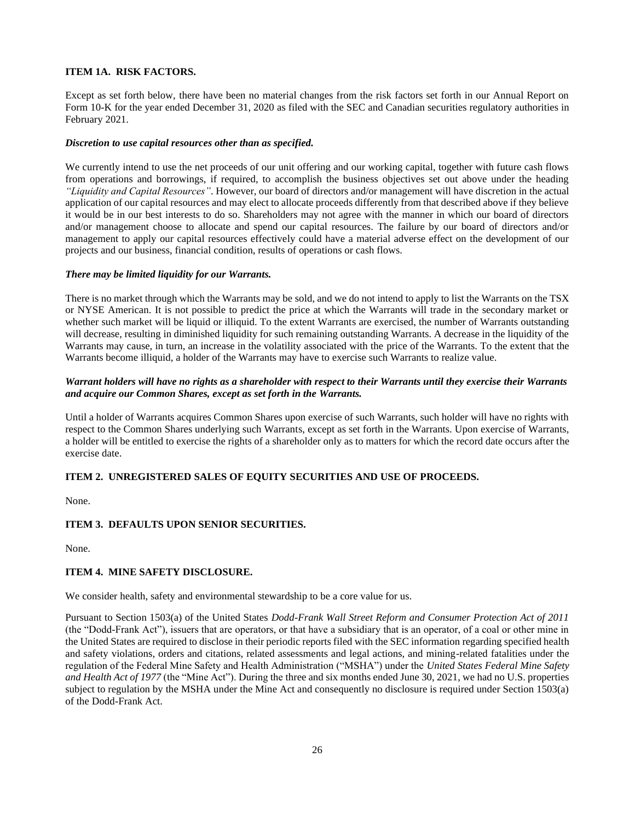# <span id="page-25-0"></span>**ITEM 1A. RISK FACTORS.**

Except as set forth below, there have been no material changes from the risk factors set forth in our Annual Report on Form 10-K for the year ended December 31, 2020 as filed with the SEC and Canadian securities regulatory authorities in February 2021.

#### *Discretion to use capital resources other than as specified.*

We currently intend to use the net proceeds of our unit offering and our working capital, together with future cash flows from operations and borrowings, if required, to accomplish the business objectives set out above under the heading *"Liquidity and Capital Resources"*. However, our board of directors and/or management will have discretion in the actual application of our capital resources and may elect to allocate proceeds differently from that described above if they believe it would be in our best interests to do so. Shareholders may not agree with the manner in which our board of directors and/or management choose to allocate and spend our capital resources. The failure by our board of directors and/or management to apply our capital resources effectively could have a material adverse effect on the development of our projects and our business, financial condition, results of operations or cash flows.

#### *There may be limited liquidity for our Warrants.*

There is no market through which the Warrants may be sold, and we do not intend to apply to list the Warrants on the TSX or NYSE American. It is not possible to predict the price at which the Warrants will trade in the secondary market or whether such market will be liquid or illiquid. To the extent Warrants are exercised, the number of Warrants outstanding will decrease, resulting in diminished liquidity for such remaining outstanding Warrants. A decrease in the liquidity of the Warrants may cause, in turn, an increase in the volatility associated with the price of the Warrants. To the extent that the Warrants become illiquid, a holder of the Warrants may have to exercise such Warrants to realize value.

# *Warrant holders will have no rights as a shareholder with respect to their Warrants until they exercise their Warrants and acquire our Common Shares, except as set forth in the Warrants.*

Until a holder of Warrants acquires Common Shares upon exercise of such Warrants, such holder will have no rights with respect to the Common Shares underlying such Warrants, except as set forth in the Warrants. Upon exercise of Warrants, a holder will be entitled to exercise the rights of a shareholder only as to matters for which the record date occurs after the exercise date.

# <span id="page-25-1"></span>**ITEM 2. UNREGISTERED SALES OF EQUITY SECURITIES AND USE OF PROCEEDS.**

None.

# <span id="page-25-2"></span>**ITEM 3. DEFAULTS UPON SENIOR SECURITIES.**

None.

# <span id="page-25-3"></span>**ITEM 4. MINE SAFETY DISCLOSURE.**

We consider health, safety and environmental stewardship to be a core value for us.

Pursuant to Section 1503(a) of the United States *Dodd-Frank Wall Street Reform and Consumer Protection Act of 2011* (the "Dodd-Frank Act"), issuers that are operators, or that have a subsidiary that is an operator, of a coal or other mine in the United States are required to disclose in their periodic reports filed with the SEC information regarding specified health and safety violations, orders and citations, related assessments and legal actions, and mining-related fatalities under the regulation of the Federal Mine Safety and Health Administration ("MSHA") under the *United States Federal Mine Safety and Health Act of 1977* (the "Mine Act"). During the three and six months ended June 30, 2021, we had no U.S. properties subject to regulation by the MSHA under the Mine Act and consequently no disclosure is required under Section 1503(a) of the Dodd-Frank Act.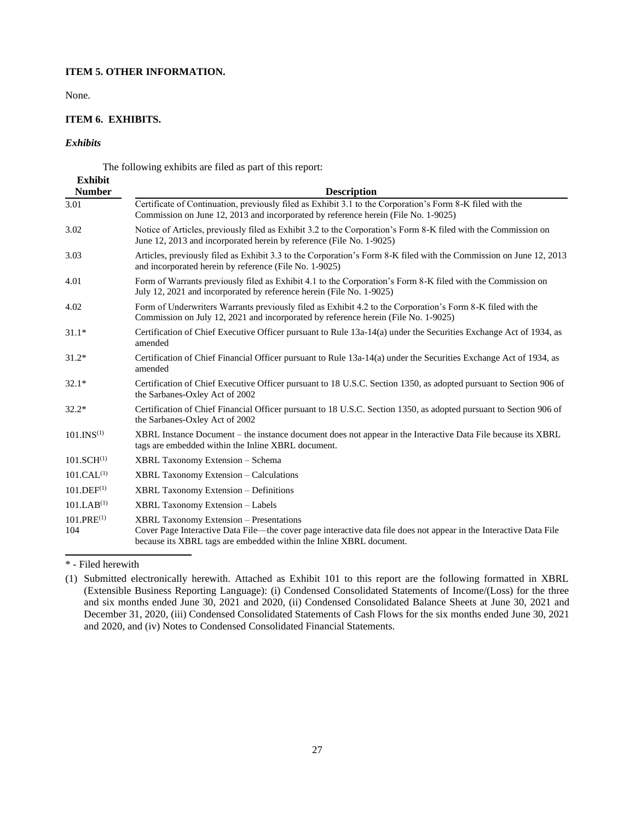# **ITEM 5. OTHER INFORMATION.**

None.

# **ITEM 6. EXHIBITS.**

# *Exhibits*

<span id="page-26-1"></span><span id="page-26-0"></span>The following exhibits are filed as part of this report:

| <b>Exhibit</b><br><b>Number</b> | <b>Description</b>                                                                                                                                                                                                                          |
|---------------------------------|---------------------------------------------------------------------------------------------------------------------------------------------------------------------------------------------------------------------------------------------|
| 3.01                            | Certificate of Continuation, previously filed as Exhibit 3.1 to the Corporation's Form 8-K filed with the<br>Commission on June 12, 2013 and incorporated by reference herein (File No. 1-9025)                                             |
| 3.02                            | Notice of Articles, previously filed as Exhibit 3.2 to the Corporation's Form 8-K filed with the Commission on<br>June 12, 2013 and incorporated herein by reference (File No. 1-9025)                                                      |
| 3.03                            | Articles, previously filed as Exhibit 3.3 to the Corporation's Form 8-K filed with the Commission on June 12, 2013<br>and incorporated herein by reference (File No. 1-9025)                                                                |
| 4.01                            | Form of Warrants previously filed as Exhibit 4.1 to the Corporation's Form 8-K filed with the Commission on<br>July 12, 2021 and incorporated by reference herein (File No. 1-9025)                                                         |
| 4.02                            | Form of Underwriters Warrants previously filed as Exhibit 4.2 to the Corporation's Form 8-K filed with the<br>Commission on July 12, 2021 and incorporated by reference herein (File No. 1-9025)                                            |
| $31.1*$                         | Certification of Chief Executive Officer pursuant to Rule 13a-14(a) under the Securities Exchange Act of 1934, as<br>amended                                                                                                                |
| $31.2*$                         | Certification of Chief Financial Officer pursuant to Rule 13a-14(a) under the Securities Exchange Act of 1934, as<br>amended                                                                                                                |
| $32.1*$                         | Certification of Chief Executive Officer pursuant to 18 U.S.C. Section 1350, as adopted pursuant to Section 906 of<br>the Sarbanes-Oxley Act of 2002                                                                                        |
| $32.2*$                         | Certification of Chief Financial Officer pursuant to 18 U.S.C. Section 1350, as adopted pursuant to Section 906 of<br>the Sarbanes-Oxley Act of 2002                                                                                        |
| 101.INS <sup>(1)</sup>          | XBRL Instance Document - the instance document does not appear in the Interactive Data File because its XBRL<br>tags are embedded within the Inline XBRL document.                                                                          |
| 101.SCH <sup>(1)</sup>          | <b>XBRL Taxonomy Extension – Schema</b>                                                                                                                                                                                                     |
| 101.CAL <sup>(1)</sup>          | <b>XBRL Taxonomy Extension – Calculations</b>                                                                                                                                                                                               |
| $101.$ DEF $^{(1)}$             | <b>XBRL Taxonomy Extension – Definitions</b>                                                                                                                                                                                                |
| 101.LAB <sup>(1)</sup>          | <b>XBRL Taxonomy Extension - Labels</b>                                                                                                                                                                                                     |
| $101.PRE^{(1)}$<br>104          | <b>XBRL Taxonomy Extension - Presentations</b><br>Cover Page Interactive Data File—the cover page interactive data file does not appear in the Interactive Data File<br>because its XBRL tags are embedded within the Inline XBRL document. |

<sup>\* -</sup> Filed herewith

<sup>(1)</sup> Submitted electronically herewith. Attached as Exhibit 101 to this report are the following formatted in XBRL (Extensible Business Reporting Language): (i) Condensed Consolidated Statements of Income/(Loss) for the three and six months ended June 30, 2021 and 2020, (ii) Condensed Consolidated Balance Sheets at June 30, 2021 and December 31, 2020, (iii) Condensed Consolidated Statements of Cash Flows for the six months ended June 30, 2021 and 2020, and (iv) Notes to Condensed Consolidated Financial Statements.